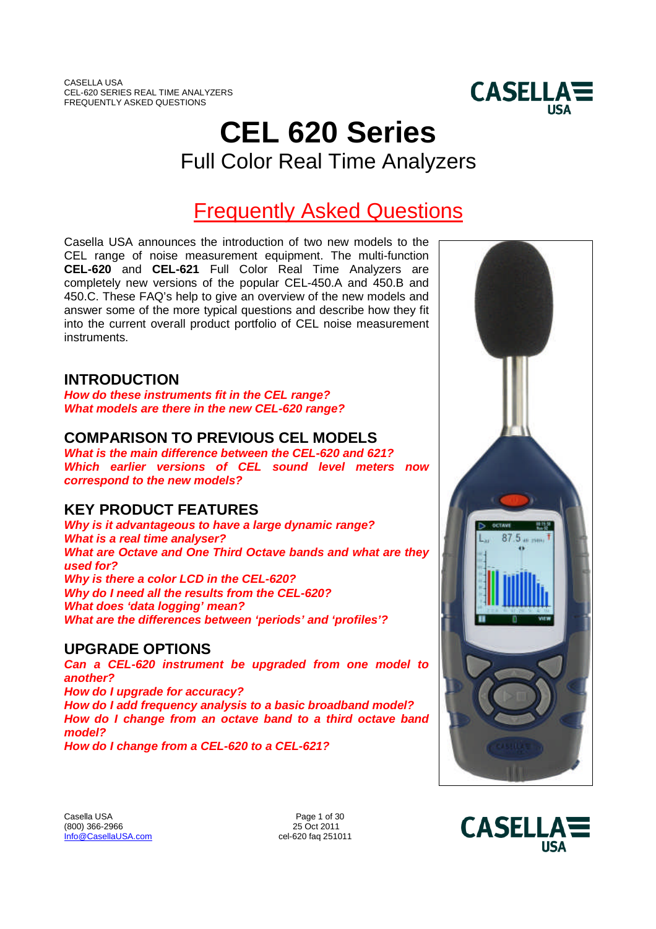

# **CEL 620 Series** Full Color Real Time Analyzers

# Frequently Asked Questions

Casella USA announces the introduction of two new models to the CEL range of noise measurement equipment. The multi-function **CEL-620** and **CEL-621** Full Color Real Time Analyzers are completely new versions of the popular CEL-450.A and 450.B and 450.C. These FAQ's help to give an overview of the new models and answer some of the more typical questions and describe how they fit into the current overall product portfolio of CEL noise measurement **instruments** 

# **INTRODUCTION**

*How do these instruments fit in the CEL range? What models are there in the new CEL-620 range?*

# **COMPARISON TO PREVIOUS CEL MODELS**

*What is the main difference between the CEL-620 and 621? Which earlier versions of CEL sound level meters now correspond to the new models?*

# **KEY PRODUCT FEATURES**

*Why is it advantageous to have a large dynamic range? What is a real time analyser? What are Octave and One Third Octave bands and what are they used for? Why is there a color LCD in the CEL-620? Why do I need all the results from the CEL-620? What does 'data logging' mean? What are the differences between 'periods' and 'profiles'?*

# **UPGRADE OPTIONS**

*Can a CEL-620 instrument be upgraded from one model to another? How do I upgrade for accuracy?*

*How do I add frequency analysis to a basic broadband model? How do I change from an octave band to a third octave band model?*

*How do I change from a CEL-620 to a CEL-621?*





Casella USA Page 1 of 30<br>
(800) 366-2966 25 Oct 2011  $(800)$  366-2966 Info@CasellaUSA.com cel-620 faq 251011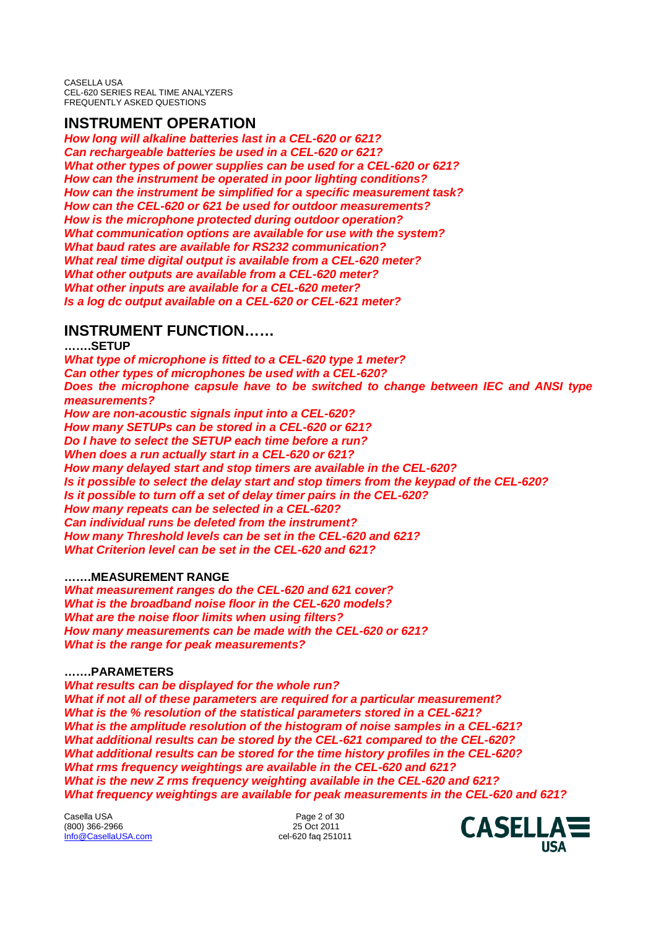# **INSTRUMENT OPERATION**

*How long will alkaline batteries last in a CEL-620 or 621? Can rechargeable batteries be used in a CEL-620 or 621? What other types of power supplies can be used for a CEL-620 or 621? How can the instrument be operated in poor lighting conditions? How can the instrument be simplified for a specific measurement task? How can the CEL-620 or 621 be used for outdoor measurements? How is the microphone protected during outdoor operation? What communication options are available for use with the system? What baud rates are available for RS232 communication? What real time digital output is available from a CEL-620 meter? What other outputs are available from a CEL-620 meter? What other inputs are available for a CEL-620 meter? Is a log dc output available on a CEL-620 or CEL-621 meter?*

# **INSTRUMENT FUNCTION……**

**…….SETUP** *What type of microphone is fitted to a CEL-620 type 1 meter? Can other types of microphones be used with a CEL-620? Does the microphone capsule have to be switched to change between IEC and ANSI type measurements? How are non-acoustic signals input into a CEL-620? How many SETUPs can be stored in a CEL-620 or 621? Do I have to select the SETUP each time before a run? When does a run actually start in a CEL-620 or 621? How many delayed start and stop timers are available in the CEL-620? Is it possible to select the delay start and stop timers from the keypad of the CEL-620? Is it possible to turn off a set of delay timer pairs in the CEL-620? How many repeats can be selected in a CEL-620? Can individual runs be deleted from the instrument? How many Threshold levels can be set in the CEL-620 and 621? What Criterion level can be set in the CEL-620 and 621?*

# **…….MEASUREMENT RANGE**

*What measurement ranges do the CEL-620 and 621 cover? What is the broadband noise floor in the CEL-620 models? What are the noise floor limits when using filters? How many measurements can be made with the CEL-620 or 621? What is the range for peak measurements?*

# **…….PARAMETERS**

*What results can be displayed for the whole run? What if not all of these parameters are required for a particular measurement? What is the % resolution of the statistical parameters stored in a CEL-621? What is the amplitude resolution of the histogram of noise samples in a CEL-621? What additional results can be stored by the CEL-621 compared to the CEL-620? What additional results can be stored for the time history profiles in the CEL-620? What rms frequency weightings are available in the CEL-620 and 621? What is the new Z rms frequency weighting available in the CEL-620 and 621? What frequency weightings are available for peak measurements in the CEL-620 and 621?*

Casella USA Page 2 of 30<br>
(800) 366-2966 2011 (800) 366-2966 Info@CasellaUSA.com cel-620 faq 251011

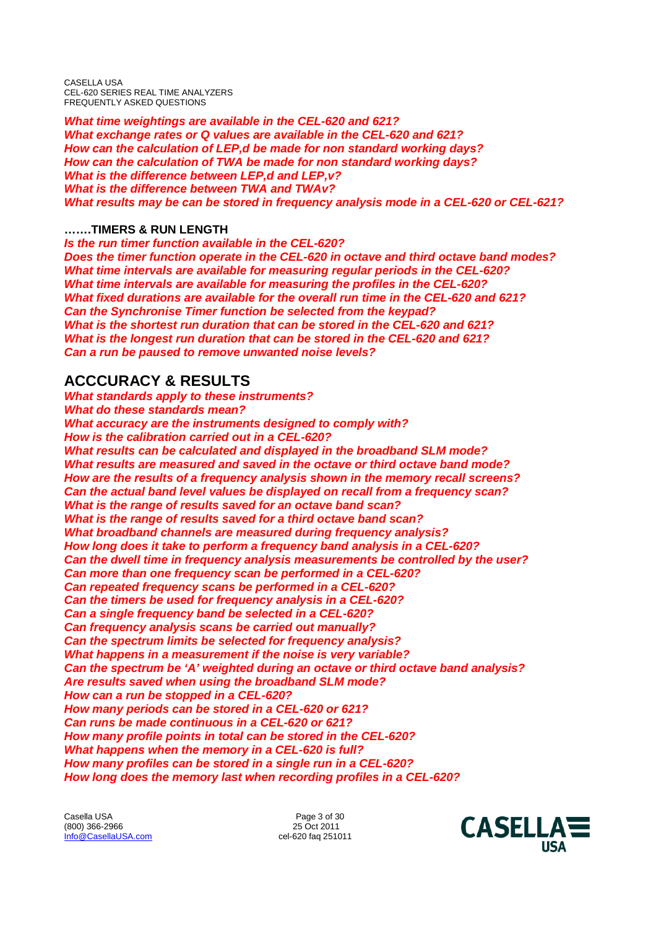*What time weightings are available in the CEL-620 and 621? What exchange rates or Q values are available in the CEL-620 and 621? How can the calculation of LEP,d be made for non standard working days? How can the calculation of TWA be made for non standard working days? What is the difference between LEP,d and LEP,v? What is the difference between TWA and TWAv? What results may be can be stored in frequency analysis mode in a CEL-620 or CEL-621?*

# **…….TIMERS & RUN LENGTH**

*Is the run timer function available in the CEL-620? Does the timer function operate in the CEL-620 in octave and third octave band modes? What time intervals are available for measuring regular periods in the CEL-620? What time intervals are available for measuring the profiles in the CEL-620? What fixed durations are available for the overall run time in the CEL-620 and 621? Can the Synchronise Timer function be selected from the keypad? What is the shortest run duration that can be stored in the CEL-620 and 621? What is the longest run duration that can be stored in the CEL-620 and 621? Can a run be paused to remove unwanted noise levels?*

# **ACCCURACY & RESULTS**

*What standards apply to these instruments? What do these standards mean? What accuracy are the instruments designed to comply with? How is the calibration carried out in a CEL-620? What results can be calculated and displayed in the broadband SLM mode? What results are measured and saved in the octave or third octave band mode? How are the results of a frequency analysis shown in the memory recall screens? Can the actual band level values be displayed on recall from a frequency scan? What is the range of results saved for an octave band scan? What is the range of results saved for a third octave band scan? What broadband channels are measured during frequency analysis? How long does it take to perform a frequency band analysis in a CEL-620? Can the dwell time in frequency analysis measurements be controlled by the user? Can more than one frequency scan be performed in a CEL-620? Can repeated frequency scans be performed in a CEL-620? Can the timers be used for frequency analysis in a CEL-620? Can a single frequency band be selected in a CEL-620? Can frequency analysis scans be carried out manually? Can the spectrum limits be selected for frequency analysis? What happens in a measurement if the noise is very variable? Can the spectrum be 'A' weighted during an octave or third octave band analysis? Are results saved when using the broadband SLM mode? How can a run be stopped in a CEL-620? How many periods can be stored in a CEL-620 or 621? Can runs be made continuous in a CEL-620 or 621? How many profile points in total can be stored in the CEL-620? What happens when the memory in a CEL-620 is full? How many profiles can be stored in a single run in a CEL-620? How long does the memory last when recording profiles in a CEL-620?*

Casella USA Page 3 of 30  $(800)$  366-2966 Info@CasellaUSA.com cel-620 faq 251011

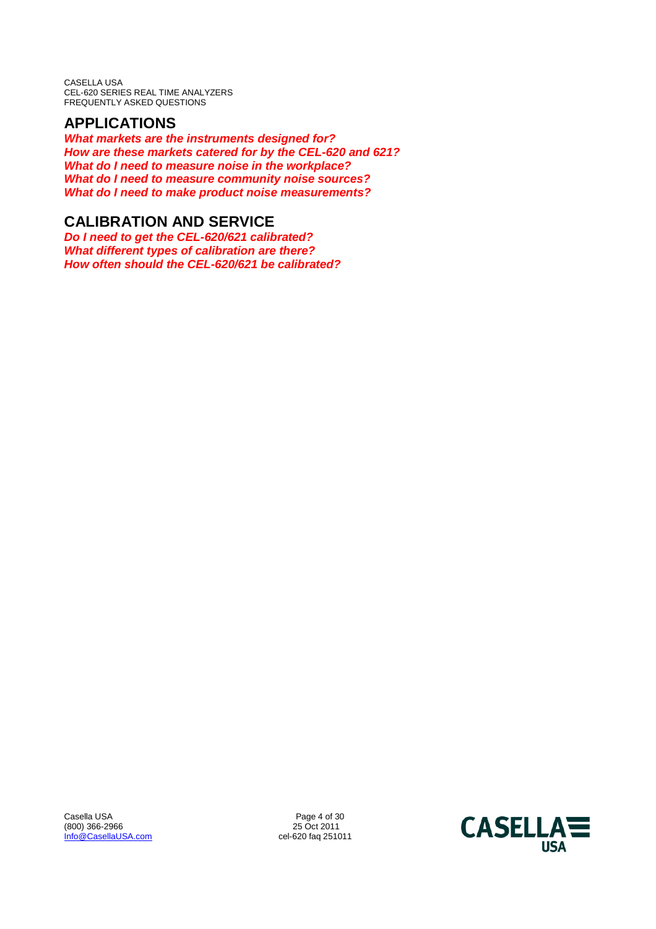# **APPLICATIONS**

*What markets are the instruments designed for? How are these markets catered for by the CEL-620 and 621? What do I need to measure noise in the workplace? What do I need to measure community noise sources? What do I need to make product noise measurements?*

# **CALIBRATION AND SERVICE**

*Do I need to get the CEL-620/621 calibrated? What different types of calibration are there? How often should the CEL-620/621 be calibrated?*

Casella USA Page 4 of 30<br>
(800) 366-2966 25 Oct 2011 (800) 366-2966 2001 25 Oct 2011<br>
<u>Info@CasellaUSA.com</u> 25 Oct 2011 25 Oct 2011 Info@CasellaUSA.com

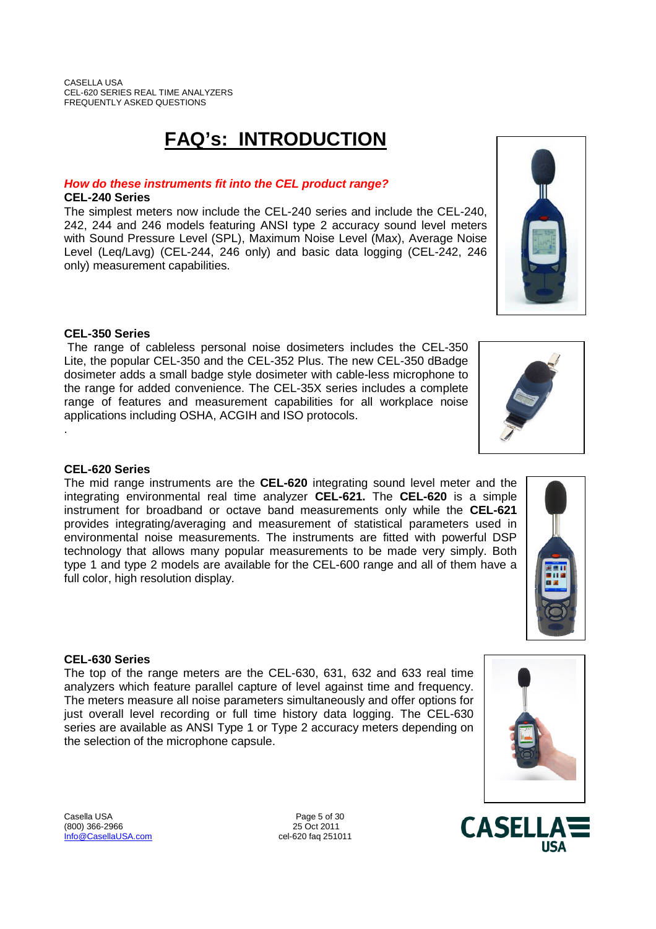# **FAQ's: INTRODUCTION**

# *How do these instruments fit into the CEL product range?*

# **CEL-240 Series**

The simplest meters now include the CEL-240 series and include the CEL-240, 242, 244 and 246 models featuring ANSI type 2 accuracy sound level meters with Sound Pressure Level (SPL), Maximum Noise Level (Max), Average Noise Level (Leq/Lavg) (CEL-244, 246 only) and basic data logging (CEL-242, 246 only) measurement capabilities.

# **CEL-350 Series**

The range of cableless personal noise dosimeters includes the CEL-350 Lite, the popular CEL-350 and the CEL-352 Plus. The new CEL-350 dBadge dosimeter adds a small badge style dosimeter with cable-less microphone to the range for added convenience. The CEL-35X series includes a complete range of features and measurement capabilities for all workplace noise applications including OSHA, ACGIH and ISO protocols.

# **CEL-620 Series**

.

The mid range instruments are the **CEL-620** integrating sound level meter and the integrating environmental real time analyzer **CEL-621.** The **CEL-620** is a simple instrument for broadband or octave band measurements only while the **CEL-621** provides integrating/averaging and measurement of statistical parameters used in environmental noise measurements. The instruments are fitted with powerful DSP technology that allows many popular measurements to be made very simply. Both type 1 and type 2 models are available for the CEL-600 range and all of them have a full color, high resolution display.

# **CEL-630 Series**

The top of the range meters are the CEL-630, 631, 632 and 633 real time analyzers which feature parallel capture of level against time and frequency. The meters measure all noise parameters simultaneously and offer options for just overall level recording or full time history data logging. The CEL-630 series are available as ANSI Type 1 or Type 2 accuracy meters depending on the selection of the microphone capsule.











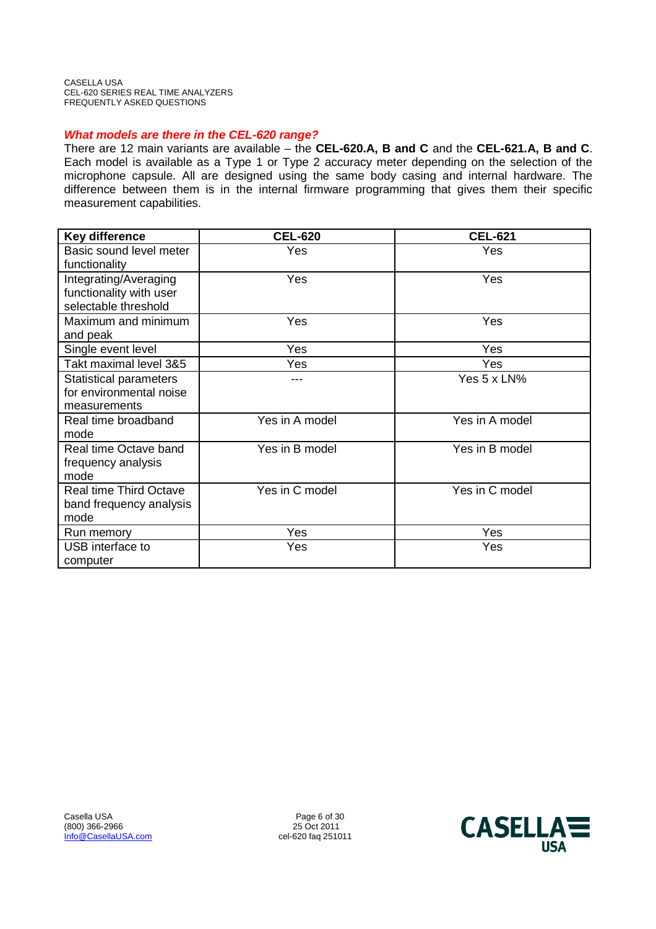# *What models are there in the CEL-620 range?*

There are 12 main variants are available – the **CEL-620.A, B and C** and the **CEL-621.A, B and C**. Each model is available as a Type 1 or Type 2 accuracy meter depending on the selection of the microphone capsule. All are designed using the same body casing and internal hardware. The difference between them is in the internal firmware programming that gives them their specific measurement capabilities.

| <b>Key difference</b>         | <b>CEL-620</b> | <b>CEL-621</b> |
|-------------------------------|----------------|----------------|
| Basic sound level meter       | Yes            | Yes            |
| functionality                 |                |                |
| Integrating/Averaging         | Yes            | Yes            |
| functionality with user       |                |                |
| selectable threshold          |                |                |
| Maximum and minimum           | Yes            | Yes            |
| and peak                      |                |                |
| Single event level            | Yes            | Yes            |
| Takt maximal level 3&5        | Yes            | Yes            |
| <b>Statistical parameters</b> |                | Yes 5 x LN%    |
| for environmental noise       |                |                |
| measurements                  |                |                |
| Real time broadband           | Yes in A model | Yes in A model |
| mode                          |                |                |
| Real time Octave band         | Yes in B model | Yes in B model |
| frequency analysis            |                |                |
| mode                          |                |                |
| <b>Real time Third Octave</b> | Yes in C model | Yes in C model |
| band frequency analysis       |                |                |
| mode                          |                |                |
| Run memory                    | Yes            | Yes            |
| USB interface to              | Yes            | Yes            |
| computer                      |                |                |

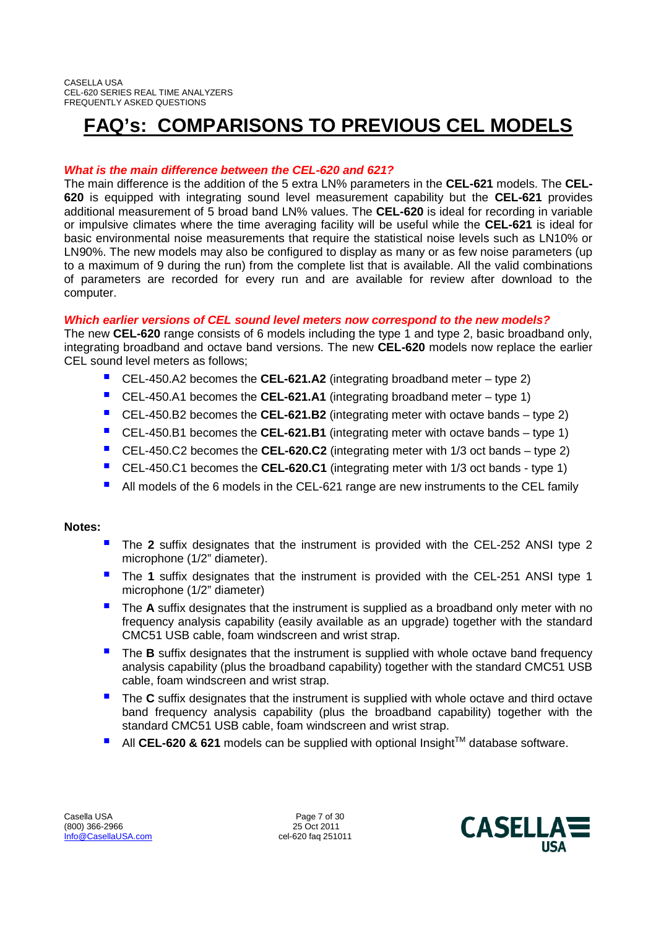# **FAQ's: COMPARISONS TO PREVIOUS CEL MODELS**

# *What is the main difference between the CEL-620 and 621?*

The main difference is the addition of the 5 extra LN% parameters in the **CEL-621** models. The **CEL-620** is equipped with integrating sound level measurement capability but the **CEL-621** provides additional measurement of 5 broad band LN% values. The **CEL-620** is ideal for recording in variable or impulsive climates where the time averaging facility will be useful while the **CEL-621** is ideal for basic environmental noise measurements that require the statistical noise levels such as LN10% or LN90%. The new models may also be configured to display as many or as few noise parameters (up to a maximum of 9 during the run) from the complete list that is available. All the valid combinations of parameters are recorded for every run and are available for review after download to the computer.

# *Which earlier versions of CEL sound level meters now correspond to the new models?*

The new **CEL-620** range consists of 6 models including the type 1 and type 2, basic broadband only, integrating broadband and octave band versions. The new **CEL-620** models now replace the earlier CEL sound level meters as follows;

- CEL-450.A2 becomes the **CEL-621.A2** (integrating broadband meter type 2)
- CEL-450.A1 becomes the **CEL-621.A1** (integrating broadband meter type 1)
- CEL-450.B2 becomes the **CEL-621.B2** (integrating meter with octave bands type 2)
- CEL-450.B1 becomes the **CEL-621.B1** (integrating meter with octave bands type 1)
- CEL-450.C2 becomes the **CEL-620.C2** (integrating meter with 1/3 oct bands type 2)
- CEL-450.C1 becomes the **CEL-620.C1** (integrating meter with 1/3 oct bands type 1)
- All models of the 6 models in the CEL-621 range are new instruments to the CEL family

# **Notes:**

- The **<sup>2</sup>** suffix designates that the instrument is provided with the CEL-252 ANSI type 2 microphone (1/2" diameter).
- The **<sup>1</sup>** suffix designates that the instrument is provided with the CEL-251 ANSI type 1 microphone (1/2" diameter)
- The **<sup>A</sup>** suffix designates that the instrument is supplied as a broadband only meter with no frequency analysis capability (easily available as an upgrade) together with the standard CMC51 USB cable, foam windscreen and wrist strap.
- The **<sup>B</sup>** suffix designates that the instrument is supplied with whole octave band frequency analysis capability (plus the broadband capability) together with the standard CMC51 USB cable, foam windscreen and wrist strap.
- The **<sup>C</sup>** suffix designates that the instrument is supplied with whole octave and third octave band frequency analysis capability (plus the broadband capability) together with the standard CMC51 USB cable, foam windscreen and wrist strap.
- All CEL-620 & 621 models can be supplied with optional Insight<sup>™</sup> database software.

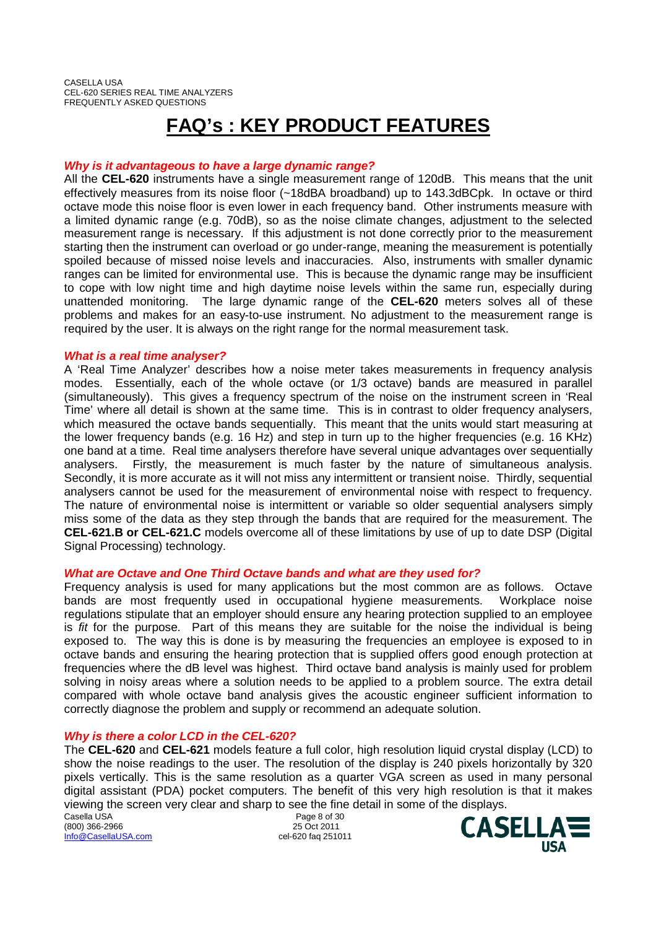# **FAQ's : KEY PRODUCT FEATURES**

# *Why is it advantageous to have a large dynamic range?*

All the **CEL-620** instruments have a single measurement range of 120dB. This means that the unit effectively measures from its noise floor (~18dBA broadband) up to 143.3dBCpk. In octave or third octave mode this noise floor is even lower in each frequency band. Other instruments measure with a limited dynamic range (e.g. 70dB), so as the noise climate changes, adjustment to the selected measurement range is necessary. If this adjustment is not done correctly prior to the measurement starting then the instrument can overload or go under-range, meaning the measurement is potentially spoiled because of missed noise levels and inaccuracies. Also, instruments with smaller dynamic ranges can be limited for environmental use. This is because the dynamic range may be insufficient to cope with low night time and high daytime noise levels within the same run, especially during unattended monitoring. The large dynamic range of the **CEL-620** meters solves all of these problems and makes for an easy-to-use instrument. No adjustment to the measurement range is required by the user. It is always on the right range for the normal measurement task.

## *What is a real time analyser?*

A 'Real Time Analyzer' describes how a noise meter takes measurements in frequency analysis modes. Essentially, each of the whole octave (or 1/3 octave) bands are measured in parallel (simultaneously). This gives a frequency spectrum of the noise on the instrument screen in 'Real Time' where all detail is shown at the same time. This is in contrast to older frequency analysers, which measured the octave bands sequentially. This meant that the units would start measuring at the lower frequency bands (e.g. 16 Hz) and step in turn up to the higher frequencies (e.g. 16 KHz) one band at a time. Real time analysers therefore have several unique advantages over sequentially analysers. Firstly, the measurement is much faster by the nature of simultaneous analysis. Secondly, it is more accurate as it will not miss any intermittent or transient noise. Thirdly, sequential analysers cannot be used for the measurement of environmental noise with respect to frequency. The nature of environmental noise is intermittent or variable so older sequential analysers simply miss some of the data as they step through the bands that are required for the measurement. The **CEL-621.B or CEL-621.C** models overcome all of these limitations by use of up to date DSP (Digital Signal Processing) technology.

# *What are Octave and One Third Octave bands and what are they used for?*

Frequency analysis is used for many applications but the most common are as follows. Octave bands are most frequently used in occupational hygiene measurements. Workplace noise regulations stipulate that an employer should ensure any hearing protection supplied to an employee is *fit* for the purpose. Part of this means they are suitable for the noise the individual is being exposed to. The way this is done is by measuring the frequencies an employee is exposed to in octave bands and ensuring the hearing protection that is supplied offers good enough protection at frequencies where the dB level was highest. Third octave band analysis is mainly used for problem solving in noisy areas where a solution needs to be applied to a problem source. The extra detail compared with whole octave band analysis gives the acoustic engineer sufficient information to correctly diagnose the problem and supply or recommend an adequate solution.

# *Why is there a color LCD in the CEL-620?*

The **CEL-620** and **CEL-621** models feature a full color, high resolution liquid crystal display (LCD) to show the noise readings to the user. The resolution of the display is 240 pixels horizontally by 320 pixels vertically. This is the same resolution as a quarter VGA screen as used in many personal digital assistant (PDA) pocket computers. The benefit of this very high resolution is that it makes viewing the screen very clear and sharp to see the fine detail in some of the displays.

Casella USA Page 8 of 30 (800) 366-2966 25 Oct 2011 Info@CasellaUSA.com cel-620 faq 251011

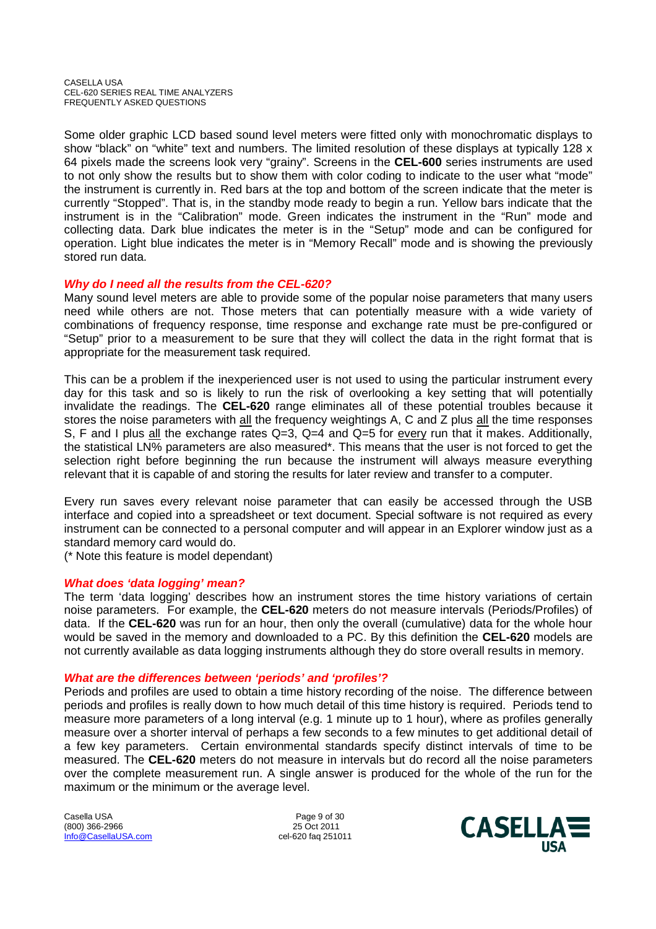Some older graphic LCD based sound level meters were fitted only with monochromatic displays to show "black" on "white" text and numbers. The limited resolution of these displays at typically 128 x 64 pixels made the screens look very "grainy". Screens in the **CEL-600** series instruments are used to not only show the results but to show them with color coding to indicate to the user what "mode" the instrument is currently in. Red bars at the top and bottom of the screen indicate that the meter is currently "Stopped". That is, in the standby mode ready to begin a run. Yellow bars indicate that the instrument is in the "Calibration" mode. Green indicates the instrument in the "Run" mode and collecting data. Dark blue indicates the meter is in the "Setup" mode and can be configured for operation. Light blue indicates the meter is in "Memory Recall" mode and is showing the previously stored run data.

# *Why do I need all the results from the CEL-620?*

Many sound level meters are able to provide some of the popular noise parameters that many users need while others are not. Those meters that can potentially measure with a wide variety of combinations of frequency response, time response and exchange rate must be pre-configured or "Setup" prior to a measurement to be sure that they will collect the data in the right format that is appropriate for the measurement task required.

This can be a problem if the inexperienced user is not used to using the particular instrument every day for this task and so is likely to run the risk of overlooking a key setting that will potentially invalidate the readings. The **CEL-620** range eliminates all of these potential troubles because it stores the noise parameters with all the frequency weightings A, C and Z plus all the time responses S, F and I plus all the exchange rates  $Q=3$ ,  $Q=4$  and  $Q=5$  for every run that it makes. Additionally, the statistical LN% parameters are also measured\*. This means that the user is not forced to get the selection right before beginning the run because the instrument will always measure everything relevant that it is capable of and storing the results for later review and transfer to a computer.

Every run saves every relevant noise parameter that can easily be accessed through the USB interface and copied into a spreadsheet or text document. Special software is not required as every instrument can be connected to a personal computer and will appear in an Explorer window just as a standard memory card would do.

(\* Note this feature is model dependant)

# *What does 'data logging' mean?*

The term 'data logging' describes how an instrument stores the time history variations of certain noise parameters. For example, the **CEL-620** meters do not measure intervals (Periods/Profiles) of data. If the **CEL-620** was run for an hour, then only the overall (cumulative) data for the whole hour would be saved in the memory and downloaded to a PC. By this definition the **CEL-620** models are not currently available as data logging instruments although they do store overall results in memory.

# *What are the differences between 'periods' and 'profiles'?*

Periods and profiles are used to obtain a time history recording of the noise. The difference between periods and profiles is really down to how much detail of this time history is required. Periods tend to measure more parameters of a long interval (e.g. 1 minute up to 1 hour), where as profiles generally measure over a shorter interval of perhaps a few seconds to a few minutes to get additional detail of a few key parameters. Certain environmental standards specify distinct intervals of time to be measured. The **CEL-620** meters do not measure in intervals but do record all the noise parameters over the complete measurement run. A single answer is produced for the whole of the run for the maximum or the minimum or the average level.

Casella USA **Page 9 of 30** (800) 366-2966 25 Oct 2011 Info@CasellaUSA.com cel-620 faq 251011

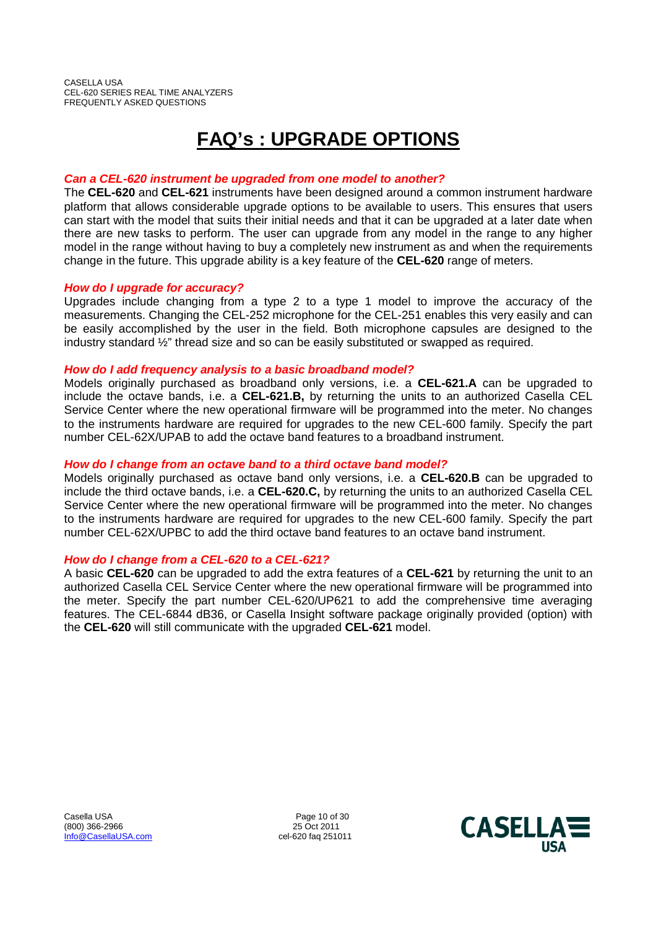# **FAQ's : UPGRADE OPTIONS**

# *Can a CEL-620 instrument be upgraded from one model to another?*

The **CEL-620** and **CEL-621** instruments have been designed around a common instrument hardware platform that allows considerable upgrade options to be available to users. This ensures that users can start with the model that suits their initial needs and that it can be upgraded at a later date when there are new tasks to perform. The user can upgrade from any model in the range to any higher model in the range without having to buy a completely new instrument as and when the requirements change in the future. This upgrade ability is a key feature of the **CEL-620** range of meters.

# *How do I upgrade for accuracy?*

Upgrades include changing from a type 2 to a type 1 model to improve the accuracy of the measurements. Changing the CEL-252 microphone for the CEL-251 enables this very easily and can be easily accomplished by the user in the field. Both microphone capsules are designed to the industry standard ½" thread size and so can be easily substituted or swapped as required.

# *How do I add frequency analysis to a basic broadband model?*

Models originally purchased as broadband only versions, i.e. a **CEL-621.A** can be upgraded to include the octave bands, i.e. a **CEL-621.B,** by returning the units to an authorized Casella CEL Service Center where the new operational firmware will be programmed into the meter. No changes to the instruments hardware are required for upgrades to the new CEL-600 family. Specify the part number CEL-62X/UPAB to add the octave band features to a broadband instrument.

# *How do I change from an octave band to a third octave band model?*

Models originally purchased as octave band only versions, i.e. a **CEL-620.B** can be upgraded to include the third octave bands, i.e. a **CEL-620.C,** by returning the units to an authorized Casella CEL Service Center where the new operational firmware will be programmed into the meter. No changes to the instruments hardware are required for upgrades to the new CEL-600 family. Specify the part number CEL-62X/UPBC to add the third octave band features to an octave band instrument.

# *How do I change from a CEL-620 to a CEL-621?*

A basic **CEL-620** can be upgraded to add the extra features of a **CEL-621** by returning the unit to an authorized Casella CEL Service Center where the new operational firmware will be programmed into the meter. Specify the part number CEL-620/UP621 to add the comprehensive time averaging features. The CEL-6844 dB36, or Casella Insight software package originally provided (option) with the **CEL-620** will still communicate with the upgraded **CEL-621** model.

Casella USA Page 10 of 30<br>
(800) 366-2966 2011  $(800)$  366-2966 Info@CasellaUSA.com cel-620 faq 251011

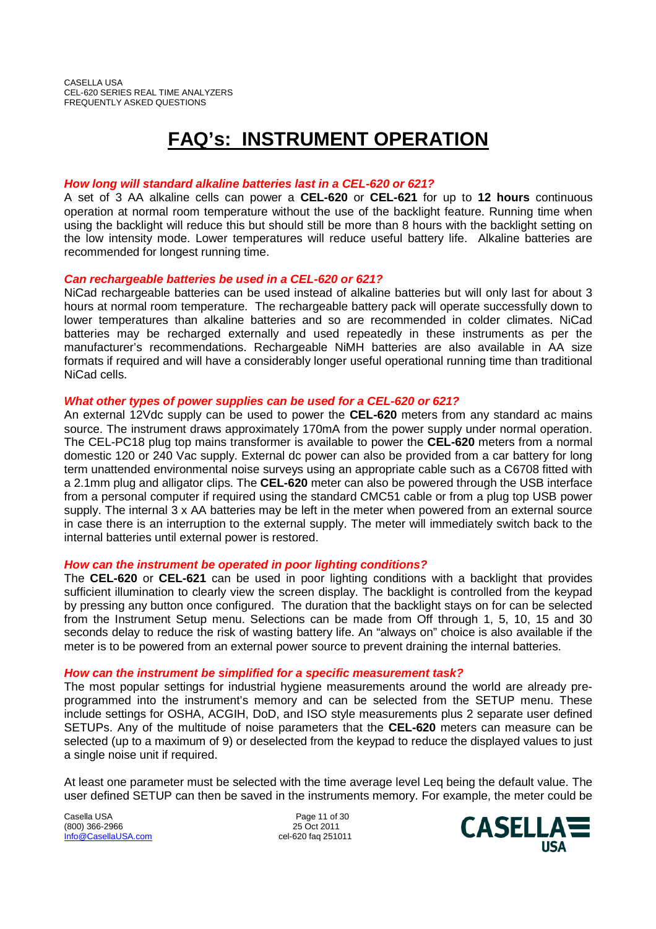# **FAQ's: INSTRUMENT OPERATION**

# *How long will standard alkaline batteries last in a CEL-620 or 621?*

A set of 3 AA alkaline cells can power a **CEL-620** or **CEL-621** for up to **12 hours** continuous operation at normal room temperature without the use of the backlight feature. Running time when using the backlight will reduce this but should still be more than 8 hours with the backlight setting on the low intensity mode. Lower temperatures will reduce useful battery life. Alkaline batteries are recommended for longest running time.

# *Can rechargeable batteries be used in a CEL-620 or 621?*

NiCad rechargeable batteries can be used instead of alkaline batteries but will only last for about 3 hours at normal room temperature. The rechargeable battery pack will operate successfully down to lower temperatures than alkaline batteries and so are recommended in colder climates. NiCad batteries may be recharged externally and used repeatedly in these instruments as per the manufacturer's recommendations. Rechargeable NiMH batteries are also available in AA size formats if required and will have a considerably longer useful operational running time than traditional NiCad cells.

# *What other types of power supplies can be used for a CEL-620 or 621?*

An external 12Vdc supply can be used to power the **CEL-620** meters from any standard ac mains source. The instrument draws approximately 170mA from the power supply under normal operation. The CEL-PC18 plug top mains transformer is available to power the **CEL-620** meters from a normal domestic 120 or 240 Vac supply. External dc power can also be provided from a car battery for long term unattended environmental noise surveys using an appropriate cable such as a C6708 fitted with a 2.1mm plug and alligator clips. The **CEL-620** meter can also be powered through the USB interface from a personal computer if required using the standard CMC51 cable or from a plug top USB power supply. The internal 3 x AA batteries may be left in the meter when powered from an external source in case there is an interruption to the external supply. The meter will immediately switch back to the internal batteries until external power is restored.

# *How can the instrument be operated in poor lighting conditions?*

The **CEL-620** or **CEL-621** can be used in poor lighting conditions with a backlight that provides sufficient illumination to clearly view the screen display. The backlight is controlled from the keypad by pressing any button once configured. The duration that the backlight stays on for can be selected from the Instrument Setup menu. Selections can be made from Off through 1, 5, 10, 15 and 30 seconds delay to reduce the risk of wasting battery life. An "always on" choice is also available if the meter is to be powered from an external power source to prevent draining the internal batteries.

# *How can the instrument be simplified for a specific measurement task?*

The most popular settings for industrial hygiene measurements around the world are already preprogrammed into the instrument's memory and can be selected from the SETUP menu. These include settings for OSHA, ACGIH, DoD, and ISO style measurements plus 2 separate user defined SETUPs. Any of the multitude of noise parameters that the **CEL-620** meters can measure can be selected (up to a maximum of 9) or deselected from the keypad to reduce the displayed values to just a single noise unit if required.

At least one parameter must be selected with the time average level Leq being the default value. The user defined SETUP can then be saved in the instruments memory. For example, the meter could be

Casella USA **Page 11 of 30** (800) 366-2966 25 Oct 2011 Info@CasellaUSA.com cel-620 faq 251011

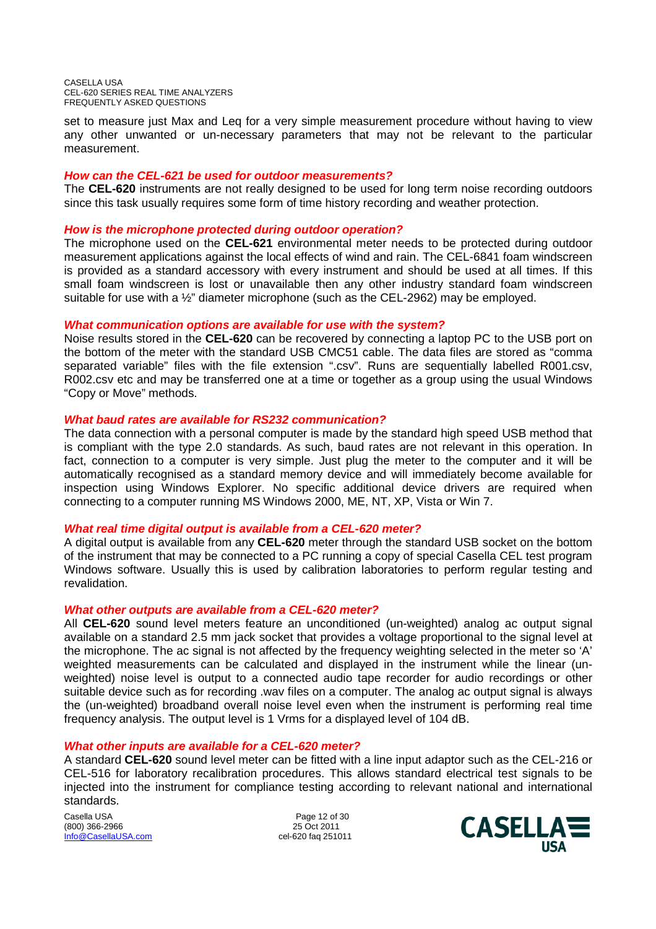set to measure just Max and Leq for a very simple measurement procedure without having to view any other unwanted or un-necessary parameters that may not be relevant to the particular measurement.

# *How can the CEL-621 be used for outdoor measurements?*

The **CEL-620** instruments are not really designed to be used for long term noise recording outdoors since this task usually requires some form of time history recording and weather protection.

# *How is the microphone protected during outdoor operation?*

The microphone used on the **CEL-621** environmental meter needs to be protected during outdoor measurement applications against the local effects of wind and rain. The CEL-6841 foam windscreen is provided as a standard accessory with every instrument and should be used at all times. If this small foam windscreen is lost or unavailable then any other industry standard foam windscreen suitable for use with a ½" diameter microphone (such as the CEL-2962) may be employed.

# *What communication options are available for use with the system?*

Noise results stored in the **CEL-620** can be recovered by connecting a laptop PC to the USB port on the bottom of the meter with the standard USB CMC51 cable. The data files are stored as "comma separated variable" files with the file extension ".csv". Runs are sequentially labelled R001.csv, R002.csv etc and may be transferred one at a time or together as a group using the usual Windows "Copy or Move" methods.

# *What baud rates are available for RS232 communication?*

The data connection with a personal computer is made by the standard high speed USB method that is compliant with the type 2.0 standards. As such, baud rates are not relevant in this operation. In fact, connection to a computer is very simple. Just plug the meter to the computer and it will be automatically recognised as a standard memory device and will immediately become available for inspection using Windows Explorer. No specific additional device drivers are required when connecting to a computer running MS Windows 2000, ME, NT, XP, Vista or Win 7.

## *What real time digital output is available from a CEL-620 meter?*

A digital output is available from any **CEL-620** meter through the standard USB socket on the bottom of the instrument that may be connected to a PC running a copy of special Casella CEL test program Windows software. Usually this is used by calibration laboratories to perform regular testing and revalidation.

## *What other outputs are available from a CEL-620 meter?*

All **CEL-620** sound level meters feature an unconditioned (un-weighted) analog ac output signal available on a standard 2.5 mm jack socket that provides a voltage proportional to the signal level at the microphone. The ac signal is not affected by the frequency weighting selected in the meter so 'A' weighted measurements can be calculated and displayed in the instrument while the linear (unweighted) noise level is output to a connected audio tape recorder for audio recordings or other suitable device such as for recording .wav files on a computer. The analog ac output signal is always the (un-weighted) broadband overall noise level even when the instrument is performing real time frequency analysis. The output level is 1 Vrms for a displayed level of 104 dB.

## *What other inputs are available for a CEL-620 meter?*

A standard **CEL-620** sound level meter can be fitted with a line input adaptor such as the CEL-216 or CEL-516 for laboratory recalibration procedures. This allows standard electrical test signals to be injected into the instrument for compliance testing according to relevant national and international standards.

Casella USA **Page 12 of 30** (800) 366-2966 25 Oct 2011 Info@CasellaUSA.com cel-620 faq 251011

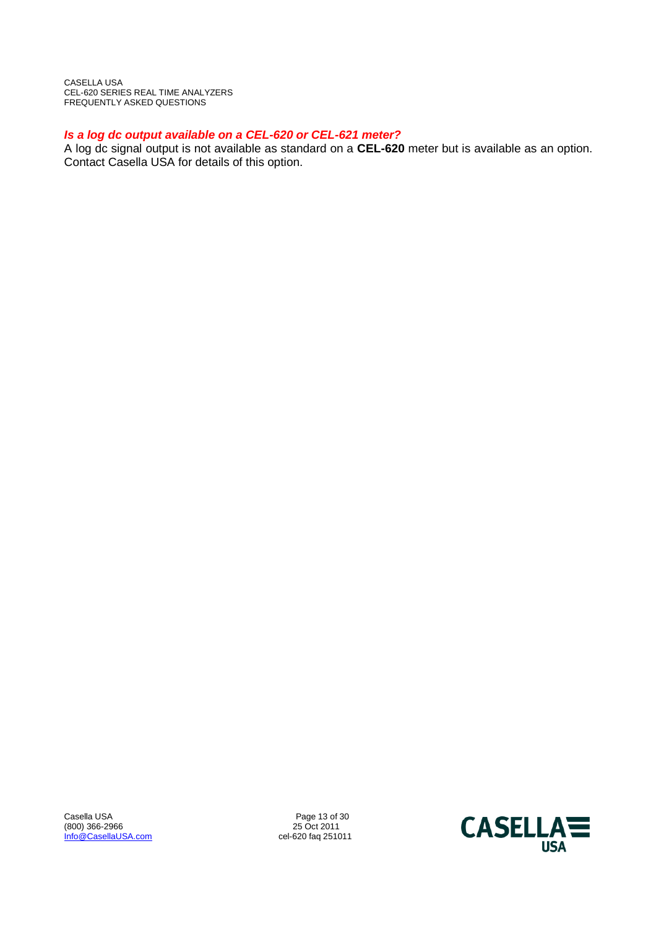# *Is a log dc output available on a CEL-620 or CEL-621 meter?*

A log dc signal output is not available as standard on a **CEL-620** meter but is available as an option. Contact Casella USA for details of this option.

Casella USA 2009 25 Oct 2011<br>
25 Oct 2011 (800) 366-2966 2966 2011<br>
<u>Info@CasellaUSA.com</u> 25 Oct 2011 25 Oct 2011 Info@CasellaUSA.com

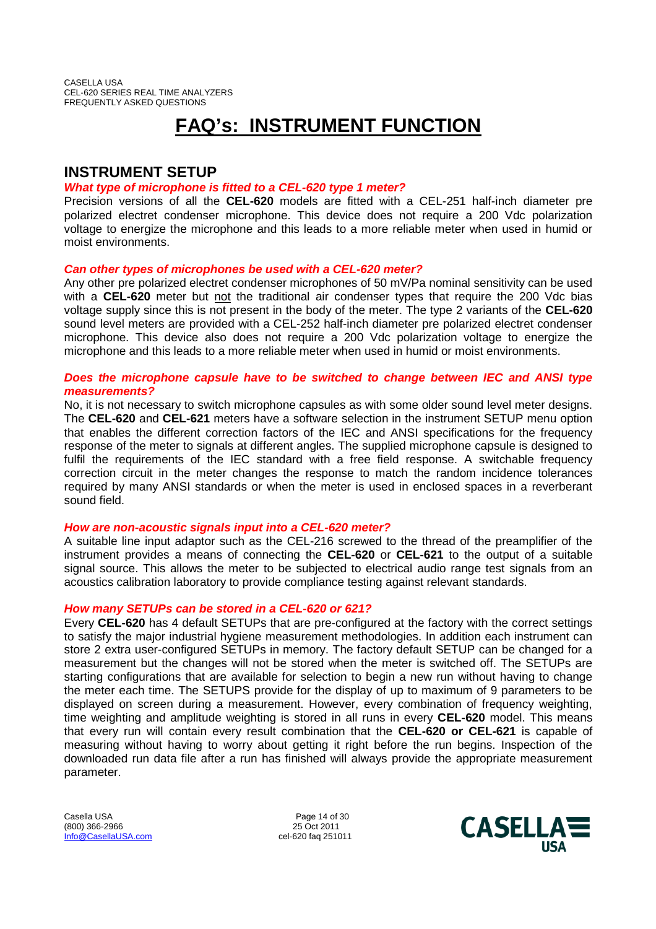# **FAQ's: INSTRUMENT FUNCTION**

# **INSTRUMENT SETUP**

# *What type of microphone is fitted to a CEL-620 type 1 meter?*

Precision versions of all the **CEL-620** models are fitted with a CEL-251 half-inch diameter pre polarized electret condenser microphone. This device does not require a 200 Vdc polarization voltage to energize the microphone and this leads to a more reliable meter when used in humid or moist environments.

# *Can other types of microphones be used with a CEL-620 meter?*

Any other pre polarized electret condenser microphones of 50 mV/Pa nominal sensitivity can be used with a **CEL-620** meter but not the traditional air condenser types that require the 200 Vdc bias voltage supply since this is not present in the body of the meter. The type 2 variants of the **CEL-620** sound level meters are provided with a CEL-252 half-inch diameter pre polarized electret condenser microphone. This device also does not require a 200 Vdc polarization voltage to energize the microphone and this leads to a more reliable meter when used in humid or moist environments.

# *Does the microphone capsule have to be switched to change between IEC and ANSI type measurements?*

No, it is not necessary to switch microphone capsules as with some older sound level meter designs. The **CEL-620** and **CEL-621** meters have a software selection in the instrument SETUP menu option that enables the different correction factors of the IEC and ANSI specifications for the frequency response of the meter to signals at different angles. The supplied microphone capsule is designed to fulfil the requirements of the IEC standard with a free field response. A switchable frequency correction circuit in the meter changes the response to match the random incidence tolerances required by many ANSI standards or when the meter is used in enclosed spaces in a reverberant sound field.

# *How are non-acoustic signals input into a CEL-620 meter?*

A suitable line input adaptor such as the CEL-216 screwed to the thread of the preamplifier of the instrument provides a means of connecting the **CEL-620** or **CEL-621** to the output of a suitable signal source. This allows the meter to be subjected to electrical audio range test signals from an acoustics calibration laboratory to provide compliance testing against relevant standards.

# *How many SETUPs can be stored in a CEL-620 or 621?*

Every **CEL-620** has 4 default SETUPs that are pre-configured at the factory with the correct settings to satisfy the major industrial hygiene measurement methodologies. In addition each instrument can store 2 extra user-configured SETUPs in memory. The factory default SETUP can be changed for a measurement but the changes will not be stored when the meter is switched off. The SETUPs are starting configurations that are available for selection to begin a new run without having to change the meter each time. The SETUPS provide for the display of up to maximum of 9 parameters to be displayed on screen during a measurement. However, every combination of frequency weighting, time weighting and amplitude weighting is stored in all runs in every **CEL-620** model. This means that every run will contain every result combination that the **CEL-620 or CEL-621** is capable of measuring without having to worry about getting it right before the run begins. Inspection of the downloaded run data file after a run has finished will always provide the appropriate measurement parameter.

Casella USA **Page 14 of 30** (800) 366-2966 25 Oct 2011 Info@CasellaUSA.com cel-620 faq 251011

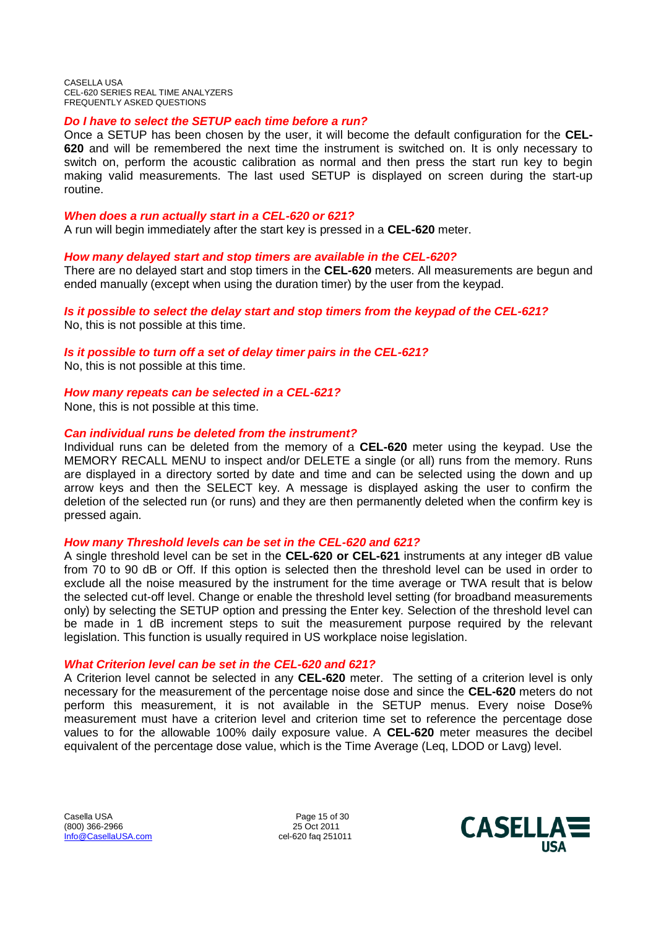## *Do I have to select the SETUP each time before a run?*

Once a SETUP has been chosen by the user, it will become the default configuration for the **CEL-620** and will be remembered the next time the instrument is switched on. It is only necessary to switch on, perform the acoustic calibration as normal and then press the start run key to begin making valid measurements. The last used SETUP is displayed on screen during the start-up routine.

## *When does a run actually start in a CEL-620 or 621?*

A run will begin immediately after the start key is pressed in a **CEL-620** meter.

### *How many delayed start and stop timers are available in the CEL-620?*

There are no delayed start and stop timers in the **CEL-620** meters. All measurements are begun and ended manually (except when using the duration timer) by the user from the keypad.

*Is it possible to select the delay start and stop timers from the keypad of the CEL-621?* No, this is not possible at this time.

## *Is it possible to turn off a set of delay timer pairs in the CEL-621?*

No, this is not possible at this time.

## *How many repeats can be selected in a CEL-621?*

None, this is not possible at this time.

### *Can individual runs be deleted from the instrument?*

Individual runs can be deleted from the memory of a **CEL-620** meter using the keypad. Use the MEMORY RECALL MENU to inspect and/or DELETE a single (or all) runs from the memory. Runs are displayed in a directory sorted by date and time and can be selected using the down and up arrow keys and then the SELECT key. A message is displayed asking the user to confirm the deletion of the selected run (or runs) and they are then permanently deleted when the confirm key is pressed again.

## *How many Threshold levels can be set in the CEL-620 and 621?*

A single threshold level can be set in the **CEL-620 or CEL-621** instruments at any integer dB value from 70 to 90 dB or Off. If this option is selected then the threshold level can be used in order to exclude all the noise measured by the instrument for the time average or TWA result that is below the selected cut-off level. Change or enable the threshold level setting (for broadband measurements only) by selecting the SETUP option and pressing the Enter key. Selection of the threshold level can be made in 1 dB increment steps to suit the measurement purpose required by the relevant legislation. This function is usually required in US workplace noise legislation.

## *What Criterion level can be set in the CEL-620 and 621?*

A Criterion level cannot be selected in any **CEL-620** meter. The setting of a criterion level is only necessary for the measurement of the percentage noise dose and since the **CEL-620** meters do not perform this measurement, it is not available in the SETUP menus. Every noise Dose% measurement must have a criterion level and criterion time set to reference the percentage dose values to for the allowable 100% daily exposure value. A **CEL-620** meter measures the decibel equivalent of the percentage dose value, which is the Time Average (Leq, LDOD or Lavg) level.

Casella USA **Page 15 of 30** (800) 366-2966 25 Oct 2011 Info@CasellaUSA.com cel-620 faq 251011

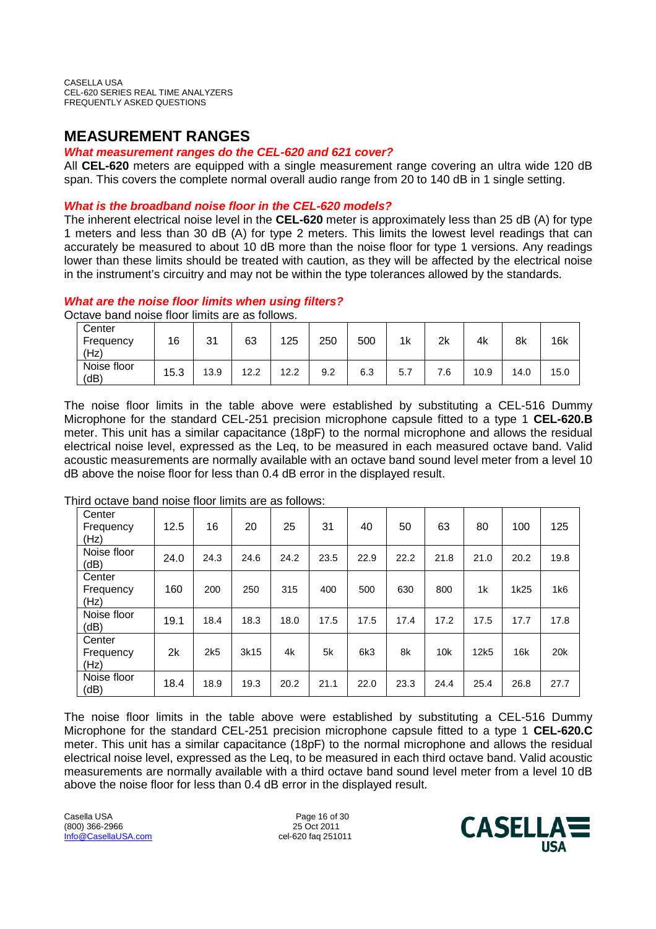# **MEASUREMENT RANGES**

# *What measurement ranges do the CEL-620 and 621 cover?*

All **CEL-620** meters are equipped with a single measurement range covering an ultra wide 120 dB span. This covers the complete normal overall audio range from 20 to 140 dB in 1 single setting.

# *What is the broadband noise floor in the CEL-620 models?*

The inherent electrical noise level in the **CEL-620** meter is approximately less than 25 dB (A) for type 1 meters and less than 30 dB (A) for type 2 meters. This limits the lowest level readings that can accurately be measured to about 10 dB more than the noise floor for type 1 versions. Any readings lower than these limits should be treated with caution, as they will be affected by the electrical noise in the instrument's circuitry and may not be within the type tolerances allowed by the standards.

# *What are the noise floor limits when using filters?*

Octave band noise floor limits are as follows.

| Center<br>Frequency<br>(Hz) | 16   | 21<br>ັບເ | 63   | 125  | 250 | 500 | 1k  | 2k | 4k   | 8k   | 16k  |
|-----------------------------|------|-----------|------|------|-----|-----|-----|----|------|------|------|
| Noise floor<br>(dB)         | 15.3 | 13.9      | 12.2 | 12.2 | 9.2 | 6.3 | 5.7 |    | 10.9 | 14.0 | 15.0 |

The noise floor limits in the table above were established by substituting a CEL-516 Dummy Microphone for the standard CEL-251 precision microphone capsule fitted to a type 1 **CEL-620.B** meter. This unit has a similar capacitance (18pF) to the normal microphone and allows the residual electrical noise level, expressed as the Leq, to be measured in each measured octave band. Valid acoustic measurements are normally available with an octave band sound level meter from a level 10 dB above the noise floor for less than 0.4 dB error in the displayed result.

| Center<br>Frequency<br>(Hz) | 12.5 | 16   | 20   | 25   | 31   | 40   | 50   | 63   | 80             | 100  | 125  |
|-----------------------------|------|------|------|------|------|------|------|------|----------------|------|------|
| Noise floor<br>(dB)         | 24.0 | 24.3 | 24.6 | 24.2 | 23.5 | 22.9 | 22.2 | 21.8 | 21.0           | 20.2 | 19.8 |
| Center<br>Frequency<br>(Hz) | 160  | 200  | 250  | 315  | 400  | 500  | 630  | 800  | 1 <sub>k</sub> | 1k25 | 1k6  |
| Noise floor<br>(dB)         | 19.1 | 18.4 | 18.3 | 18.0 | 17.5 | 17.5 | 17.4 | 17.2 | 17.5           | 17.7 | 17.8 |
| Center<br>Frequency<br>(Hz) | 2k   | 2k5  | 3k15 | 4k   | 5k   | 6k3  | 8k   | 10k  | 12k5           | 16k  | 20k  |
| Noise floor<br>(dB)         | 18.4 | 18.9 | 19.3 | 20.2 | 21.1 | 22.0 | 23.3 | 24.4 | 25.4           | 26.8 | 27.7 |

Third octave band noise floor limits are as follows:

The noise floor limits in the table above were established by substituting a CEL-516 Dummy Microphone for the standard CEL-251 precision microphone capsule fitted to a type 1 **CEL-620.C** meter. This unit has a similar capacitance (18pF) to the normal microphone and allows the residual electrical noise level, expressed as the Leq, to be measured in each third octave band. Valid acoustic measurements are normally available with a third octave band sound level meter from a level 10 dB above the noise floor for less than 0.4 dB error in the displayed result.

Casella USA **Page 16 of 30** (800) 366-2966 25 Oct 2011 Info@CasellaUSA.com cel-620 faq 251011

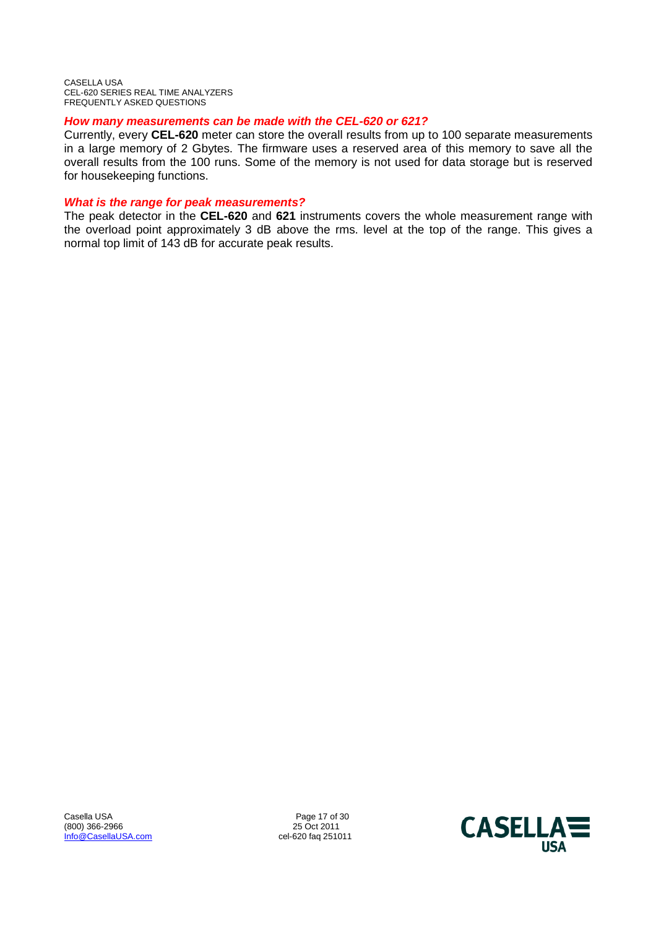# *How many measurements can be made with the CEL-620 or 621?*

Currently, every **CEL-620** meter can store the overall results from up to 100 separate measurements in a large memory of 2 Gbytes. The firmware uses a reserved area of this memory to save all the overall results from the 100 runs. Some of the memory is not used for data storage but is reserved for housekeeping functions.

## *What is the range for peak measurements?*

The peak detector in the **CEL-620** and **621** instruments covers the whole measurement range with the overload point approximately 3 dB above the rms. level at the top of the range. This gives a normal top limit of 143 dB for accurate peak results.

Casella USA Page 17 of 30<br>
(800) 366-2966 25 Oct 2011 (800) 366-2966 25 Oct 2011<br>
<u>Info@CasellaUSA.com</u> 25 Oct 2011 25 Oct 2011 Info@CasellaUSA.com

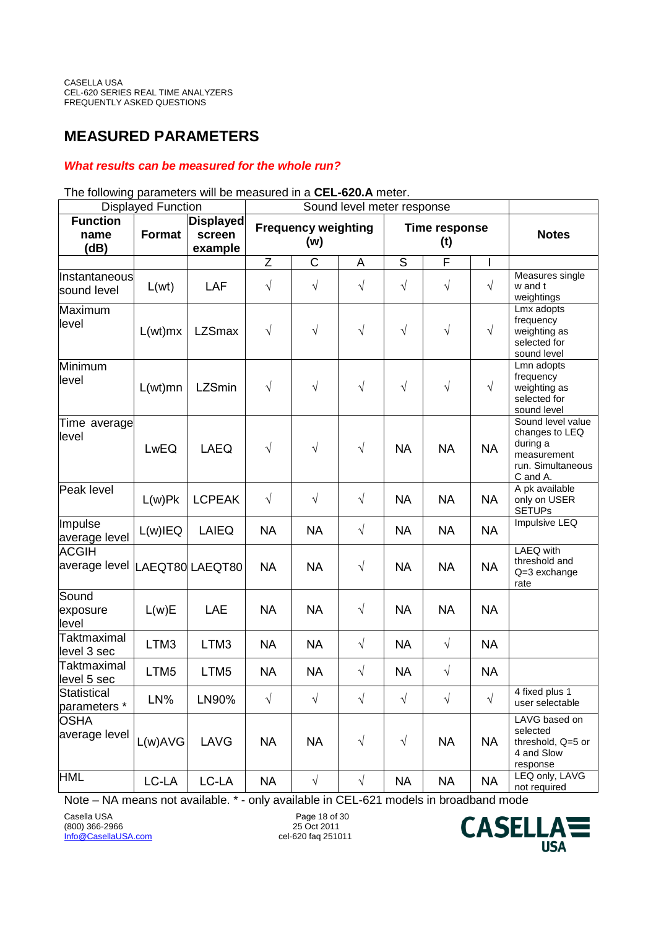# **MEASURED PARAMETERS**

# *What results can be measured for the whole run?*

#### Displayed Function **Sound level meter response Function name (dB) Format Displayed screen example Frequency weighting (w) Time response (t) Notes** Z | C | A | S | F | I | Instantaneous sound level  $\begin{array}{|c|c|c|c|c|c|}\hline \end{array}$  L(wt)  $\begin{array}{|c|c|c|c|c|}\hline \end{array}$  LAF  $\begin{array}{|c|c|c|c|}\hline \end{array}$   $\begin{array}{|c|c|c|c|}\hline \end{array}$   $\begin{array}{|c|c|c|c|}\hline \end{array}$   $\begin{array}{|c|c|c|c|}\hline \end{array}$ Measures single w and t weightings Maximum level L(wt)mx LZSmax <sup>√</sup> <sup>√</sup> <sup>√</sup> <sup>√</sup> <sup>√</sup> <sup>√</sup> Lmx adopts frequency weighting as selected for sound level Minimum level L(wt)mn LZSmin <sup>√</sup> <sup>√</sup> <sup>√</sup> <sup>√</sup> <sup>√</sup> <sup>√</sup> Lmn adopts frequency weighting as selected for sound level Time average level LwEQ | LAEQ | √ | √ | √ | NA | NA | NA Sound level value changes to LEQ during a measurement run. Simultaneous C and A. Peak level  $L(w)$ Pk  $|LCPEAK | \quad \sqrt{\quad} | \quad \sqrt{\quad} |$  NA  $| NA$  NA  $| NA$ A pk available only on USER **SETUPs** Impulse |<sup>|||||</sup>puise<br>|average level | L(w)IEQ | LAIEQ | NA | NA | NA | NA | NA | NA | NA Impulsive LEQ ACGIH |average level |LAEQT80| LAEQT80 │ NA │ NA │ √ │ NA │ NA │ NA LAEQ with threshold and Q=3 exchange rate **Sound** exposure level L(w)E | LAE | NA | NA | √ | NA | NA | NA **Taktmaximal**  $\begin{array}{c|c|c|c|c|c|c|c} \hline \text{LTM3} & \text{LTM3} & \text{NA} & \text{NA} & \sqrt{ } & \text{NA} & \sqrt{ } & \text{NA} \end{array}$ **Taktmaximal**  $\begin{array}{c|c|c|c|c|c|c|c} \hline \text{LTM5} & \text{LTM5} & \text{NA} & \text{NA} & \sqrt{3} & \text{NA} & \sqrt{3} & \text{NA} \end{array}$ **Statistical** Statistical<br>parameters \* LN% LN90% | √ | √ | √ | √ | √ | √ 4 fixed plus 1 user selectable **OSHA** average level  $\lfloor$  L(w)AVG  $\rfloor$  LAVG  $\rfloor$  NA  $\rfloor$  NA  $\rfloor$   $\preccurlyeq$   $\lnot$   $\preccurlyeq$   $\lnot$  NA  $\lnot$  NA LAVG based on selected threshold, Q=5 or 4 and Slow response HML LC-LA LC-LA NA √ √ NA NA NA LEQ only, LAVG not required

The following parameters will be measured in a **CEL-620.A** meter.

Note – NA means not available. \* - only available in CEL-621 models in broadband mode

Casella USA Page 18 of 30 (800) 366-2966 Info@CasellaUSA.com cel-620 faq 251011

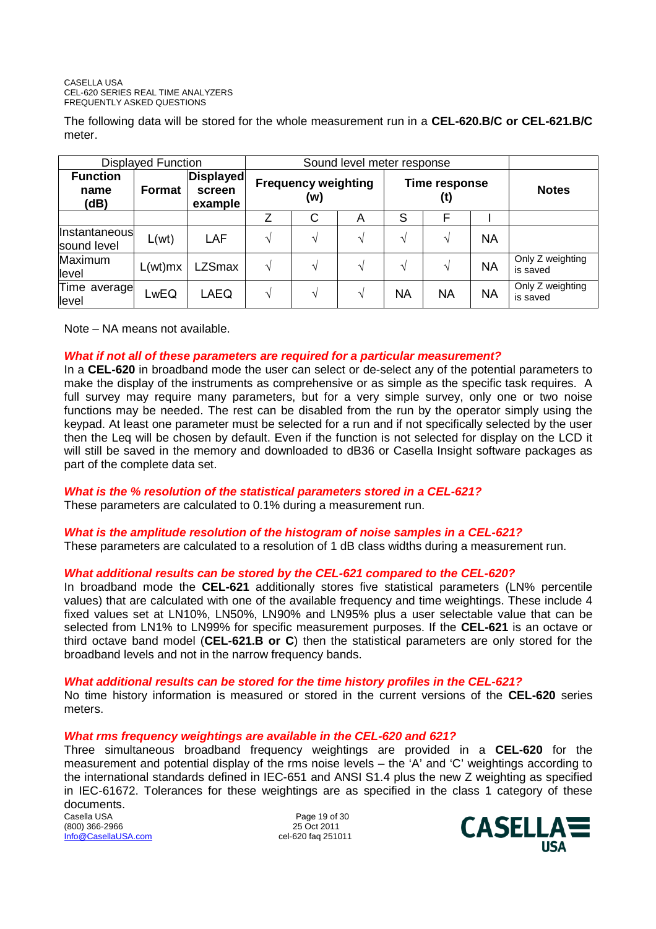The following data will be stored for the whole measurement run in a **CEL-620.B/C or CEL-621.B/C** meter.

| <b>Displayed Function</b>       |               |                                       |                                   |                    |               |                      |           |           |                              |
|---------------------------------|---------------|---------------------------------------|-----------------------------------|--------------------|---------------|----------------------|-----------|-----------|------------------------------|
| <b>Function</b><br>name<br>(dB) | <b>Format</b> | <b>Displayed</b><br>screen<br>example | <b>Frequency weighting</b><br>(w) |                    |               | Time response<br>(t) |           |           | <b>Notes</b>                 |
|                                 |               |                                       |                                   | С                  | A             | S                    | F         |           |                              |
| Instantaneous<br>sound level    | L(wt)         | LAF                                   | $\mathbf{v}$                      | $\mathbf{\hat{v}}$ | $\mathcal{N}$ | V                    | V         | NA        |                              |
| Maximum<br>level                | L(wt)mx       | <b>LZSmax</b>                         |                                   | V                  | $\mathbf{v}$  | V                    | V         | <b>NA</b> | Only Z weighting<br>is saved |
| Time average<br>level           | LwEQ          | LAEQ                                  |                                   | $\mathbf{v}$       | $\mathcal{N}$ | NA                   | <b>NA</b> | <b>NA</b> | Only Z weighting<br>is saved |

Note – NA means not available.

# *What if not all of these parameters are required for a particular measurement?*

In a **CEL-620** in broadband mode the user can select or de-select any of the potential parameters to make the display of the instruments as comprehensive or as simple as the specific task requires. A full survey may require many parameters, but for a very simple survey, only one or two noise functions may be needed. The rest can be disabled from the run by the operator simply using the keypad. At least one parameter must be selected for a run and if not specifically selected by the user then the Leq will be chosen by default. Even if the function is not selected for display on the LCD it will still be saved in the memory and downloaded to dB36 or Casella Insight software packages as part of the complete data set.

# *What is the % resolution of the statistical parameters stored in a CEL-621?*

These parameters are calculated to 0.1% during a measurement run.

# *What is the amplitude resolution of the histogram of noise samples in a CEL-621?*

These parameters are calculated to a resolution of 1 dB class widths during a measurement run.

# *What additional results can be stored by the CEL-621 compared to the CEL-620?*

In broadband mode the **CEL-621** additionally stores five statistical parameters (LN% percentile values) that are calculated with one of the available frequency and time weightings. These include 4 fixed values set at LN10%, LN50%, LN90% and LN95% plus a user selectable value that can be selected from LN1% to LN99% for specific measurement purposes. If the **CEL-621** is an octave or third octave band model (**CEL-621.B or C**) then the statistical parameters are only stored for the broadband levels and not in the narrow frequency bands.

# *What additional results can be stored for the time history profiles in the CEL-621?*

No time history information is measured or stored in the current versions of the **CEL-620** series meters.

# *What rms frequency weightings are available in the CEL-620 and 621?*

Three simultaneous broadband frequency weightings are provided in a **CEL-620** for the measurement and potential display of the rms noise levels – the 'A' and 'C' weightings according to the international standards defined in IEC-651 and ANSI S1.4 plus the new Z weighting as specified in IEC-61672. Tolerances for these weightings are as specified in the class 1 category of these documents.

Casella USA Page 19 of 30  $(800)$  366-2966 Info@CasellaUSA.com cel-620 faq 251011

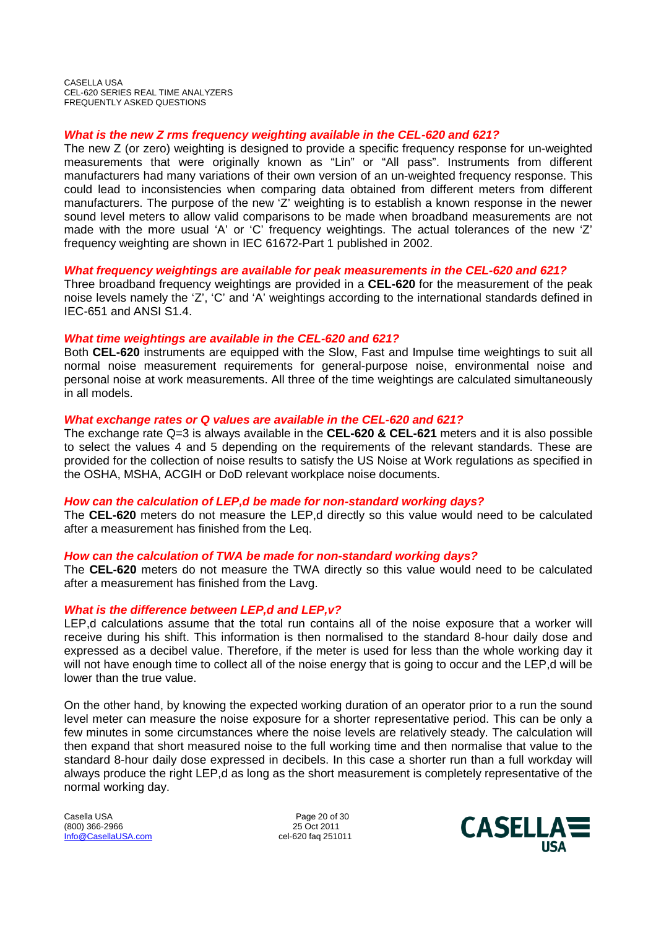# *What is the new Z rms frequency weighting available in the CEL-620 and 621?*

The new Z (or zero) weighting is designed to provide a specific frequency response for un-weighted measurements that were originally known as "Lin" or "All pass". Instruments from different manufacturers had many variations of their own version of an un-weighted frequency response. This could lead to inconsistencies when comparing data obtained from different meters from different manufacturers. The purpose of the new 'Z' weighting is to establish a known response in the newer sound level meters to allow valid comparisons to be made when broadband measurements are not made with the more usual 'A' or 'C' frequency weightings. The actual tolerances of the new 'Z' frequency weighting are shown in IEC 61672-Part 1 published in 2002.

# *What frequency weightings are available for peak measurements in the CEL-620 and 621?*

Three broadband frequency weightings are provided in a **CEL-620** for the measurement of the peak noise levels namely the 'Z', 'C' and 'A' weightings according to the international standards defined in IEC-651 and ANSI S1.4.

# *What time weightings are available in the CEL-620 and 621?*

Both **CEL-620** instruments are equipped with the Slow, Fast and Impulse time weightings to suit all normal noise measurement requirements for general-purpose noise, environmental noise and personal noise at work measurements. All three of the time weightings are calculated simultaneously in all models.

# *What exchange rates or Q values are available in the CEL-620 and 621?*

The exchange rate Q=3 is always available in the **CEL-620 & CEL-621** meters and it is also possible to select the values 4 and 5 depending on the requirements of the relevant standards. These are provided for the collection of noise results to satisfy the US Noise at Work regulations as specified in the OSHA, MSHA, ACGIH or DoD relevant workplace noise documents.

## *How can the calculation of LEP,d be made for non-standard working days?*

The **CEL-620** meters do not measure the LEP,d directly so this value would need to be calculated after a measurement has finished from the Leq.

# *How can the calculation of TWA be made for non-standard working days?*

The **CEL-620** meters do not measure the TWA directly so this value would need to be calculated after a measurement has finished from the Lavg.

# *What is the difference between LEP,d and LEP,v?*

LEP,d calculations assume that the total run contains all of the noise exposure that a worker will receive during his shift. This information is then normalised to the standard 8-hour daily dose and expressed as a decibel value. Therefore, if the meter is used for less than the whole working day it will not have enough time to collect all of the noise energy that is going to occur and the LEP,d will be lower than the true value.

On the other hand, by knowing the expected working duration of an operator prior to a run the sound level meter can measure the noise exposure for a shorter representative period. This can be only a few minutes in some circumstances where the noise levels are relatively steady. The calculation will then expand that short measured noise to the full working time and then normalise that value to the standard 8-hour daily dose expressed in decibels. In this case a shorter run than a full workday will always produce the right LEP,d as long as the short measurement is completely representative of the normal working day.

Casella USA **Page 20 of 30** (800) 366-2966 25 Oct 2011 Info@CasellaUSA.com cel-620 faq 251011

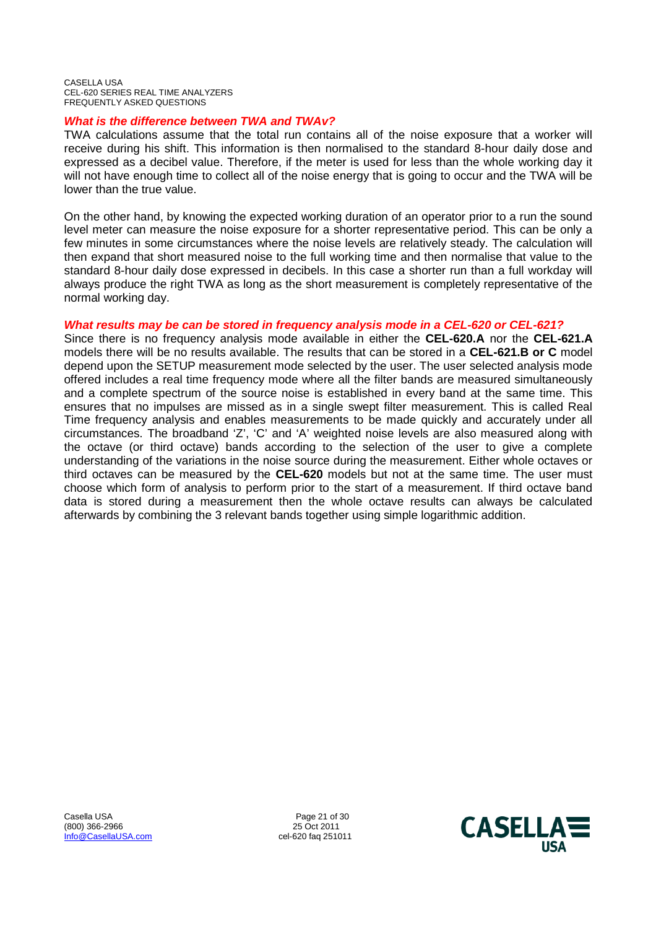# *What is the difference between TWA and TWAv?*

TWA calculations assume that the total run contains all of the noise exposure that a worker will receive during his shift. This information is then normalised to the standard 8-hour daily dose and expressed as a decibel value. Therefore, if the meter is used for less than the whole working day it will not have enough time to collect all of the noise energy that is going to occur and the TWA will be lower than the true value.

On the other hand, by knowing the expected working duration of an operator prior to a run the sound level meter can measure the noise exposure for a shorter representative period. This can be only a few minutes in some circumstances where the noise levels are relatively steady. The calculation will then expand that short measured noise to the full working time and then normalise that value to the standard 8-hour daily dose expressed in decibels. In this case a shorter run than a full workday will always produce the right TWA as long as the short measurement is completely representative of the normal working day.

# *What results may be can be stored in frequency analysis mode in a CEL-620 or CEL-621?*

Since there is no frequency analysis mode available in either the **CEL-620.A** nor the **CEL-621.A** models there will be no results available. The results that can be stored in a **CEL-621.B or C** model depend upon the SETUP measurement mode selected by the user. The user selected analysis mode offered includes a real time frequency mode where all the filter bands are measured simultaneously and a complete spectrum of the source noise is established in every band at the same time. This ensures that no impulses are missed as in a single swept filter measurement. This is called Real Time frequency analysis and enables measurements to be made quickly and accurately under all circumstances. The broadband 'Z', 'C' and 'A' weighted noise levels are also measured along with the octave (or third octave) bands according to the selection of the user to give a complete understanding of the variations in the noise source during the measurement. Either whole octaves or third octaves can be measured by the **CEL-620** models but not at the same time. The user must choose which form of analysis to perform prior to the start of a measurement. If third octave band data is stored during a measurement then the whole octave results can always be calculated afterwards by combining the 3 relevant bands together using simple logarithmic addition.

Casella USA 2008 21 of 30 and 21 of 30 and 21 of 30 and 25 Oct 2011  $(800)$  366-2966 Info@CasellaUSA.com cel-620 faq 251011

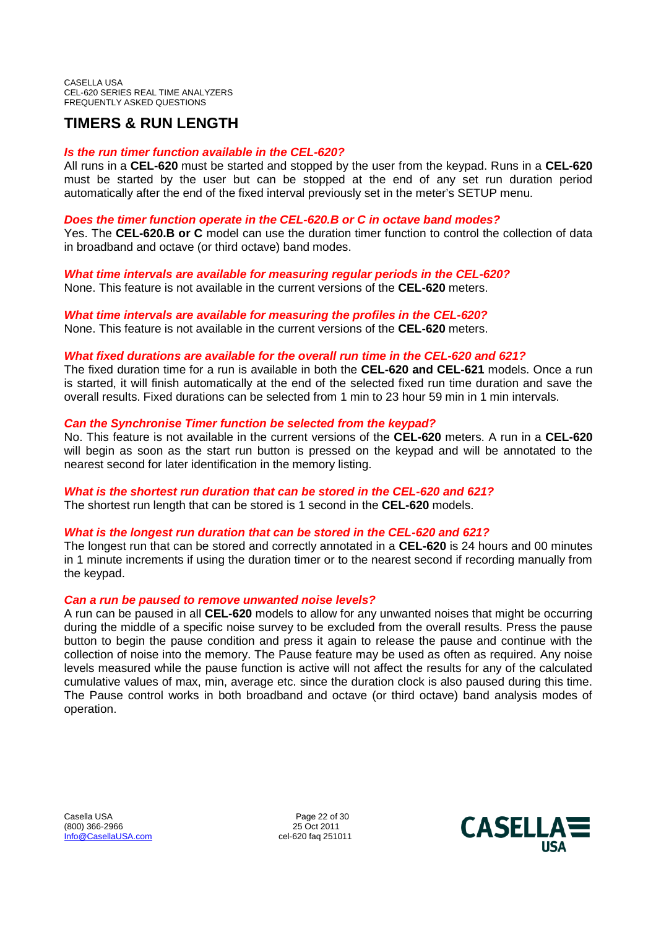# **TIMERS & RUN LENGTH**

# *Is the run timer function available in the CEL-620?*

All runs in a **CEL-620** must be started and stopped by the user from the keypad. Runs in a **CEL-620** must be started by the user but can be stopped at the end of any set run duration period automatically after the end of the fixed interval previously set in the meter's SETUP menu.

# *Does the timer function operate in the CEL-620.B or C in octave band modes?*

Yes. The **CEL-620.B or C** model can use the duration timer function to control the collection of data in broadband and octave (or third octave) band modes.

*What time intervals are available for measuring regular periods in the CEL-620?* None. This feature is not available in the current versions of the **CEL-620** meters.

*What time intervals are available for measuring the profiles in the CEL-620?* None. This feature is not available in the current versions of the **CEL-620** meters.

# *What fixed durations are available for the overall run time in the CEL-620 and 621?*

The fixed duration time for a run is available in both the **CEL-620 and CEL-621** models. Once a run is started, it will finish automatically at the end of the selected fixed run time duration and save the overall results. Fixed durations can be selected from 1 min to 23 hour 59 min in 1 min intervals.

# *Can the Synchronise Timer function be selected from the keypad?*

No. This feature is not available in the current versions of the **CEL-620** meters. A run in a **CEL-620** will begin as soon as the start run button is pressed on the keypad and will be annotated to the nearest second for later identification in the memory listing.

# *What is the shortest run duration that can be stored in the CEL-620 and 621?*

The shortest run length that can be stored is 1 second in the **CEL-620** models.

# *What is the longest run duration that can be stored in the CEL-620 and 621?*

The longest run that can be stored and correctly annotated in a **CEL-620** is 24 hours and 00 minutes in 1 minute increments if using the duration timer or to the nearest second if recording manually from the keypad.

# *Can a run be paused to remove unwanted noise levels?*

A run can be paused in all **CEL-620** models to allow for any unwanted noises that might be occurring during the middle of a specific noise survey to be excluded from the overall results. Press the pause button to begin the pause condition and press it again to release the pause and continue with the collection of noise into the memory. The Pause feature may be used as often as required. Any noise levels measured while the pause function is active will not affect the results for any of the calculated cumulative values of max, min, average etc. since the duration clock is also paused during this time. The Pause control works in both broadband and octave (or third octave) band analysis modes of operation.

Casella USA Page 22 of 30<br>
(800) 366-2966 25 Oct 2011  $(800)$  366-2966 Info@CasellaUSA.com cel-620 faq 251011

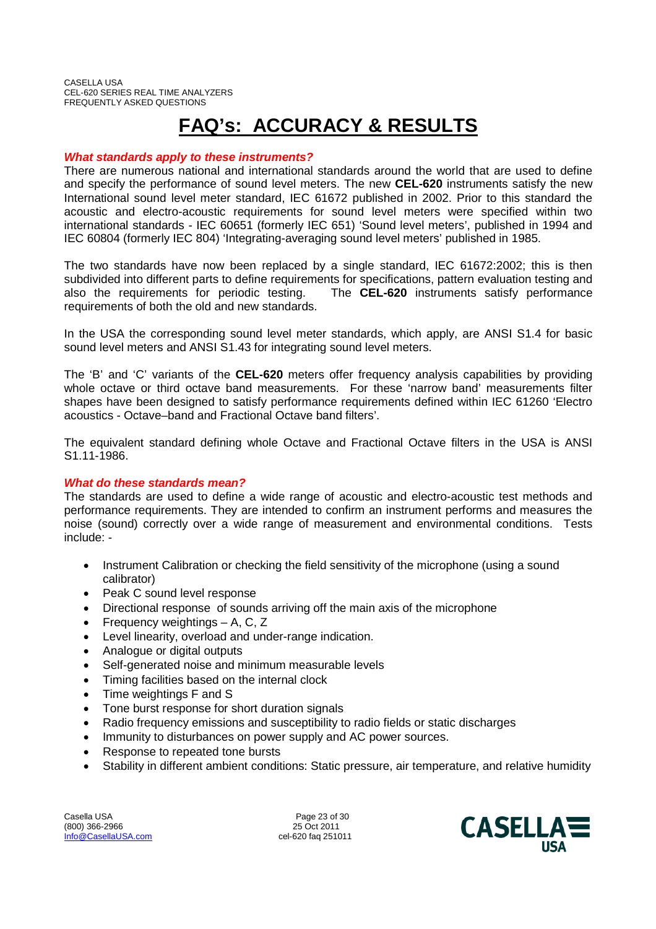# **FAQ's: ACCURACY & RESULTS**

# *What standards apply to these instruments?*

There are numerous national and international standards around the world that are used to define and specify the performance of sound level meters. The new **CEL-620** instruments satisfy the new International sound level meter standard, IEC 61672 published in 2002. Prior to this standard the acoustic and electro-acoustic requirements for sound level meters were specified within two international standards - IEC 60651 (formerly IEC 651) 'Sound level meters', published in 1994 and IEC 60804 (formerly IEC 804) 'Integrating-averaging sound level meters' published in 1985.

The two standards have now been replaced by a single standard, IEC 61672:2002; this is then subdivided into different parts to define requirements for specifications, pattern evaluation testing and also the requirements for periodic testing. The **CEL-620** instruments satisfy performance requirements of both the old and new standards.

In the USA the corresponding sound level meter standards, which apply, are ANSI S1.4 for basic sound level meters and ANSI S1.43 for integrating sound level meters.

The 'B' and 'C' variants of the **CEL-620** meters offer frequency analysis capabilities by providing whole octave or third octave band measurements. For these 'narrow band' measurements filter shapes have been designed to satisfy performance requirements defined within IEC 61260 'Electro acoustics - Octave–band and Fractional Octave band filters'.

The equivalent standard defining whole Octave and Fractional Octave filters in the USA is ANSI S1.11-1986.

# *What do these standards mean?*

The standards are used to define a wide range of acoustic and electro-acoustic test methods and performance requirements. They are intended to confirm an instrument performs and measures the noise (sound) correctly over a wide range of measurement and environmental conditions. Tests include: -

- Instrument Calibration or checking the field sensitivity of the microphone (using a sound calibrator)
- Peak C sound level response
- Directional response of sounds arriving off the main axis of the microphone
- Frequency weightings A, C, Z
- Level linearity, overload and under-range indication.
- Analogue or digital outputs
- Self-generated noise and minimum measurable levels
- Timing facilities based on the internal clock
- Time weightings F and S
- Tone burst response for short duration signals
- Radio frequency emissions and susceptibility to radio fields or static discharges
- Immunity to disturbances on power supply and AC power sources.
- Response to repeated tone bursts
- Stability in different ambient conditions: Static pressure, air temperature, and relative humidity

Casella USA 2008 23 of 30<br>
25 Oct 2011 25 Oct 2011  $(800)$  366-2966 Info@CasellaUSA.com cel-620 faq 251011

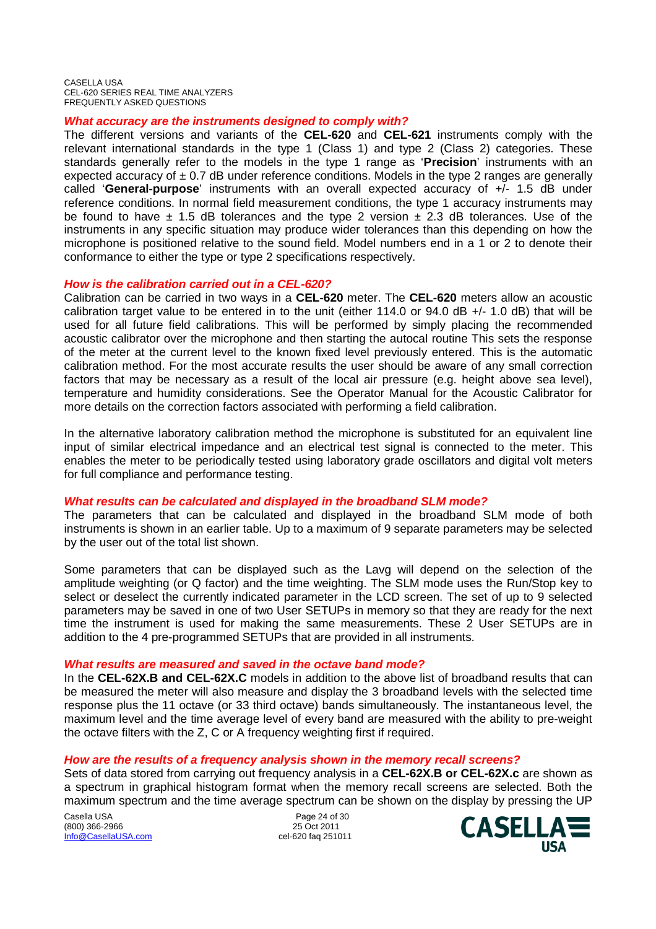# *What accuracy are the instruments designed to comply with?*

The different versions and variants of the **CEL-620** and **CEL-621** instruments comply with the relevant international standards in the type 1 (Class 1) and type 2 (Class 2) categories. These standards generally refer to the models in the type 1 range as '**Precision**' instruments with an expected accuracy of  $\pm$  0.7 dB under reference conditions. Models in the type 2 ranges are generally called '**General-purpose**' instruments with an overall expected accuracy of +/- 1.5 dB under reference conditions. In normal field measurement conditions, the type 1 accuracy instruments may be found to have  $\pm$  1.5 dB tolerances and the type 2 version  $\pm$  2.3 dB tolerances. Use of the instruments in any specific situation may produce wider tolerances than this depending on how the microphone is positioned relative to the sound field. Model numbers end in a 1 or 2 to denote their conformance to either the type or type 2 specifications respectively.

# *How is the calibration carried out in a CEL-620?*

Calibration can be carried in two ways in a **CEL-620** meter. The **CEL-620** meters allow an acoustic calibration target value to be entered in to the unit (either 114.0 or 94.0 dB +/- 1.0 dB) that will be used for all future field calibrations. This will be performed by simply placing the recommended acoustic calibrator over the microphone and then starting the autocal routine This sets the response of the meter at the current level to the known fixed level previously entered. This is the automatic calibration method. For the most accurate results the user should be aware of any small correction factors that may be necessary as a result of the local air pressure (e.g. height above sea level), temperature and humidity considerations. See the Operator Manual for the Acoustic Calibrator for more details on the correction factors associated with performing a field calibration.

In the alternative laboratory calibration method the microphone is substituted for an equivalent line input of similar electrical impedance and an electrical test signal is connected to the meter. This enables the meter to be periodically tested using laboratory grade oscillators and digital volt meters for full compliance and performance testing.

# *What results can be calculated and displayed in the broadband SLM mode?*

The parameters that can be calculated and displayed in the broadband SLM mode of both instruments is shown in an earlier table. Up to a maximum of 9 separate parameters may be selected by the user out of the total list shown.

Some parameters that can be displayed such as the Lavg will depend on the selection of the amplitude weighting (or Q factor) and the time weighting. The SLM mode uses the Run/Stop key to select or deselect the currently indicated parameter in the LCD screen. The set of up to 9 selected parameters may be saved in one of two User SETUPs in memory so that they are ready for the next time the instrument is used for making the same measurements. These 2 User SETUPs are in addition to the 4 pre-programmed SETUPs that are provided in all instruments.

## *What results are measured and saved in the octave band mode?*

In the **CEL-62X.B and CEL-62X.C** models in addition to the above list of broadband results that can be measured the meter will also measure and display the 3 broadband levels with the selected time response plus the 11 octave (or 33 third octave) bands simultaneously. The instantaneous level, the maximum level and the time average level of every band are measured with the ability to pre-weight the octave filters with the Z, C or A frequency weighting first if required.

# *How are the results of a frequency analysis shown in the memory recall screens?*

Sets of data stored from carrying out frequency analysis in a **CEL-62X.B or CEL-62X.c** are shown as a spectrum in graphical histogram format when the memory recall screens are selected. Both the maximum spectrum and the time average spectrum can be shown on the display by pressing the UP

Casella USA **Page 24 of 30** (800) 366-2966 25 Oct 2011 Info@CasellaUSA.com cel-620 faq 251011

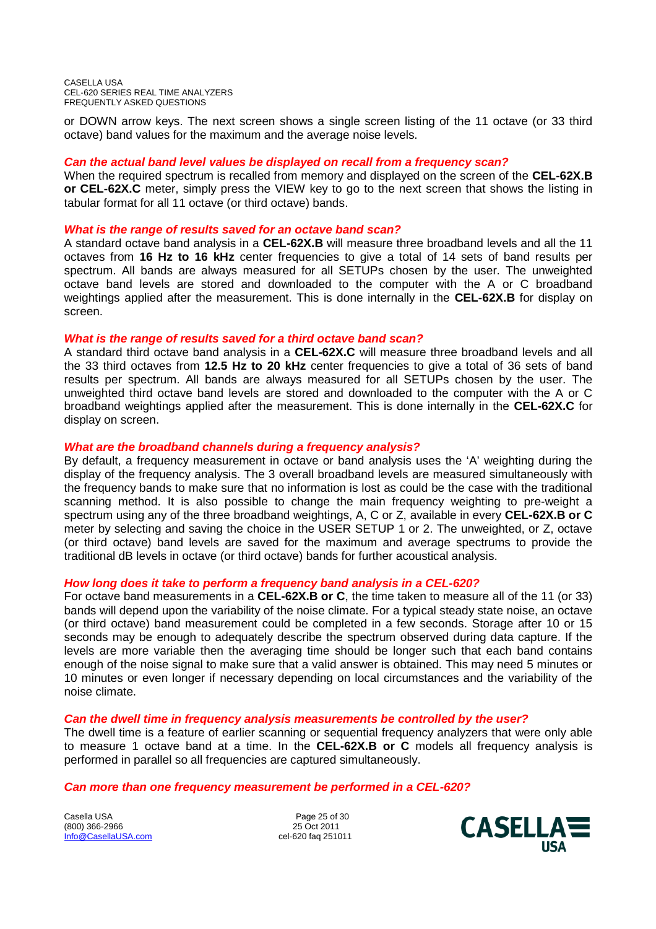or DOWN arrow keys. The next screen shows a single screen listing of the 11 octave (or 33 third octave) band values for the maximum and the average noise levels.

# *Can the actual band level values be displayed on recall from a frequency scan?*

When the required spectrum is recalled from memory and displayed on the screen of the **CEL-62X.B or CEL-62X.C** meter, simply press the VIEW key to go to the next screen that shows the listing in tabular format for all 11 octave (or third octave) bands.

## *What is the range of results saved for an octave band scan?*

A standard octave band analysis in a **CEL-62X.B** will measure three broadband levels and all the 11 octaves from **16 Hz to 16 kHz** center frequencies to give a total of 14 sets of band results per spectrum. All bands are always measured for all SETUPs chosen by the user. The unweighted octave band levels are stored and downloaded to the computer with the A or C broadband weightings applied after the measurement. This is done internally in the **CEL-62X.B** for display on screen.

## *What is the range of results saved for a third octave band scan?*

A standard third octave band analysis in a **CEL-62X.C** will measure three broadband levels and all the 33 third octaves from **12.5 Hz to 20 kHz** center frequencies to give a total of 36 sets of band results per spectrum. All bands are always measured for all SETUPs chosen by the user. The unweighted third octave band levels are stored and downloaded to the computer with the A or C broadband weightings applied after the measurement. This is done internally in the **CEL-62X.C** for display on screen.

# *What are the broadband channels during a frequency analysis?*

By default, a frequency measurement in octave or band analysis uses the 'A' weighting during the display of the frequency analysis. The 3 overall broadband levels are measured simultaneously with the frequency bands to make sure that no information is lost as could be the case with the traditional scanning method. It is also possible to change the main frequency weighting to pre-weight a spectrum using any of the three broadband weightings, A, C or Z, available in every **CEL-62X.B or C** meter by selecting and saving the choice in the USER SETUP 1 or 2. The unweighted, or Z, octave (or third octave) band levels are saved for the maximum and average spectrums to provide the traditional dB levels in octave (or third octave) bands for further acoustical analysis.

## *How long does it take to perform a frequency band analysis in a CEL-620?*

For octave band measurements in a **CEL-62X.B or C**, the time taken to measure all of the 11 (or 33) bands will depend upon the variability of the noise climate. For a typical steady state noise, an octave (or third octave) band measurement could be completed in a few seconds. Storage after 10 or 15 seconds may be enough to adequately describe the spectrum observed during data capture. If the levels are more variable then the averaging time should be longer such that each band contains enough of the noise signal to make sure that a valid answer is obtained. This may need 5 minutes or 10 minutes or even longer if necessary depending on local circumstances and the variability of the noise climate.

# *Can the dwell time in frequency analysis measurements be controlled by the user?*

The dwell time is a feature of earlier scanning or sequential frequency analyzers that were only able to measure 1 octave band at a time. In the **CEL-62X.B or C** models all frequency analysis is performed in parallel so all frequencies are captured simultaneously.

## *Can more than one frequency measurement be performed in a CEL-620?*

Casella USA **Page 25 of 30** (800) 366-2966 25 Oct 2011 Info@CasellaUSA.com cel-620 faq 251011

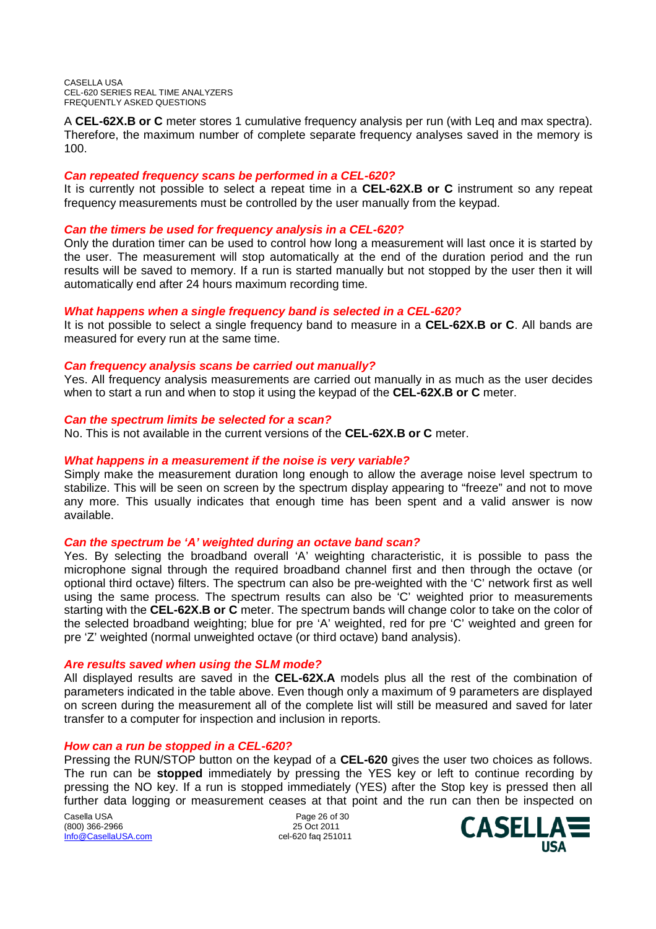A **CEL-62X.B or C** meter stores 1 cumulative frequency analysis per run (with Leq and max spectra). Therefore, the maximum number of complete separate frequency analyses saved in the memory is 100.

# *Can repeated frequency scans be performed in a CEL-620?*

It is currently not possible to select a repeat time in a **CEL-62X.B or C** instrument so any repeat frequency measurements must be controlled by the user manually from the keypad.

# *Can the timers be used for frequency analysis in a CEL-620?*

Only the duration timer can be used to control how long a measurement will last once it is started by the user. The measurement will stop automatically at the end of the duration period and the run results will be saved to memory. If a run is started manually but not stopped by the user then it will automatically end after 24 hours maximum recording time.

# *What happens when a single frequency band is selected in a CEL-620?*

It is not possible to select a single frequency band to measure in a **CEL-62X.B or C**. All bands are measured for every run at the same time.

# *Can frequency analysis scans be carried out manually?*

Yes. All frequency analysis measurements are carried out manually in as much as the user decides when to start a run and when to stop it using the keypad of the **CEL-62X.B or C** meter.

# *Can the spectrum limits be selected for a scan?*

No. This is not available in the current versions of the **CEL-62X.B or C** meter.

# *What happens in a measurement if the noise is very variable?*

Simply make the measurement duration long enough to allow the average noise level spectrum to stabilize. This will be seen on screen by the spectrum display appearing to "freeze" and not to move any more. This usually indicates that enough time has been spent and a valid answer is now available.

## *Can the spectrum be 'A' weighted during an octave band scan?*

Yes. By selecting the broadband overall 'A' weighting characteristic, it is possible to pass the microphone signal through the required broadband channel first and then through the octave (or optional third octave) filters. The spectrum can also be pre-weighted with the 'C' network first as well using the same process. The spectrum results can also be 'C' weighted prior to measurements starting with the **CEL-62X.B or C** meter. The spectrum bands will change color to take on the color of the selected broadband weighting; blue for pre 'A' weighted, red for pre 'C' weighted and green for pre 'Z' weighted (normal unweighted octave (or third octave) band analysis).

## *Are results saved when using the SLM mode?*

All displayed results are saved in the **CEL-62X.A** models plus all the rest of the combination of parameters indicated in the table above. Even though only a maximum of 9 parameters are displayed on screen during the measurement all of the complete list will still be measured and saved for later transfer to a computer for inspection and inclusion in reports.

## *How can a run be stopped in a CEL-620?*

Pressing the RUN/STOP button on the keypad of a **CEL-620** gives the user two choices as follows. The run can be **stopped** immediately by pressing the YES key or left to continue recording by pressing the NO key. If a run is stopped immediately (YES) after the Stop key is pressed then all further data logging or measurement ceases at that point and the run can then be inspected on

(800) 366-2966 25 Oct 2011 Info@CasellaUSA.com cel-620 faq 251011

Casella USA **Page 26 of 30** 

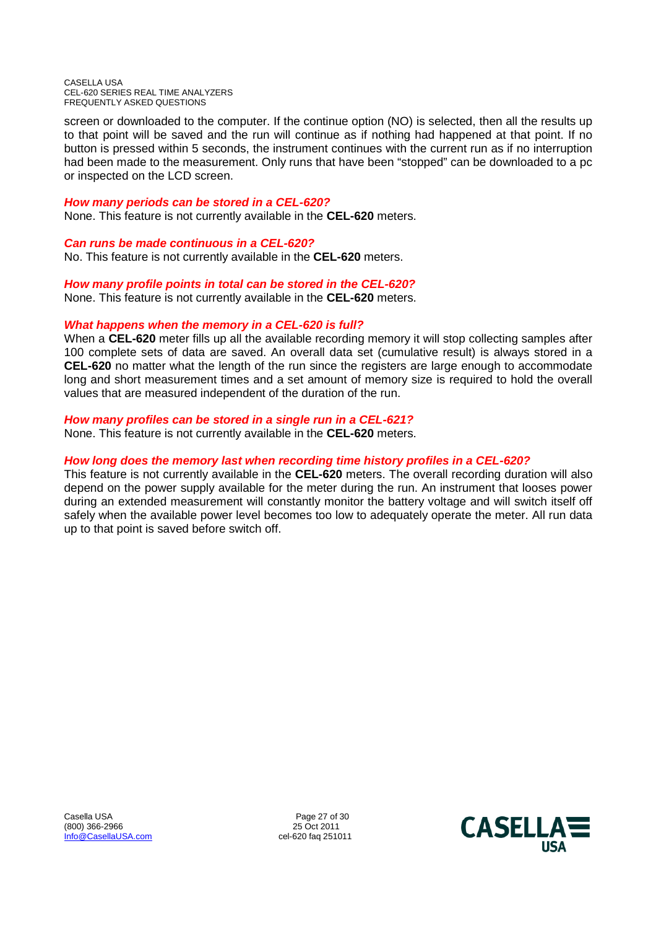screen or downloaded to the computer. If the continue option (NO) is selected, then all the results up to that point will be saved and the run will continue as if nothing had happened at that point. If no button is pressed within 5 seconds, the instrument continues with the current run as if no interruption had been made to the measurement. Only runs that have been "stopped" can be downloaded to a pc or inspected on the LCD screen.

# *How many periods can be stored in a CEL-620?*

None. This feature is not currently available in the **CEL-620** meters.

# *Can runs be made continuous in a CEL-620?*

No. This feature is not currently available in the **CEL-620** meters.

# *How many profile points in total can be stored in the CEL-620?*

None. This feature is not currently available in the **CEL-620** meters.

# *What happens when the memory in a CEL-620 is full?*

When a **CEL-620** meter fills up all the available recording memory it will stop collecting samples after 100 complete sets of data are saved. An overall data set (cumulative result) is always stored in a **CEL-620** no matter what the length of the run since the registers are large enough to accommodate long and short measurement times and a set amount of memory size is required to hold the overall values that are measured independent of the duration of the run.

# *How many profiles can be stored in a single run in a CEL-621?*

None. This feature is not currently available in the **CEL-620** meters.

# *How long does the memory last when recording time history profiles in a CEL-620?*

This feature is not currently available in the **CEL-620** meters. The overall recording duration will also depend on the power supply available for the meter during the run. An instrument that looses power during an extended measurement will constantly monitor the battery voltage and will switch itself off safely when the available power level becomes too low to adequately operate the meter. All run data up to that point is saved before switch off.

Casella USA 2008 27 of 30<br>
25 Oct 2011 25 Oct 2011  $(800)$  366-2966 Info@CasellaUSA.com cel-620 faq 251011

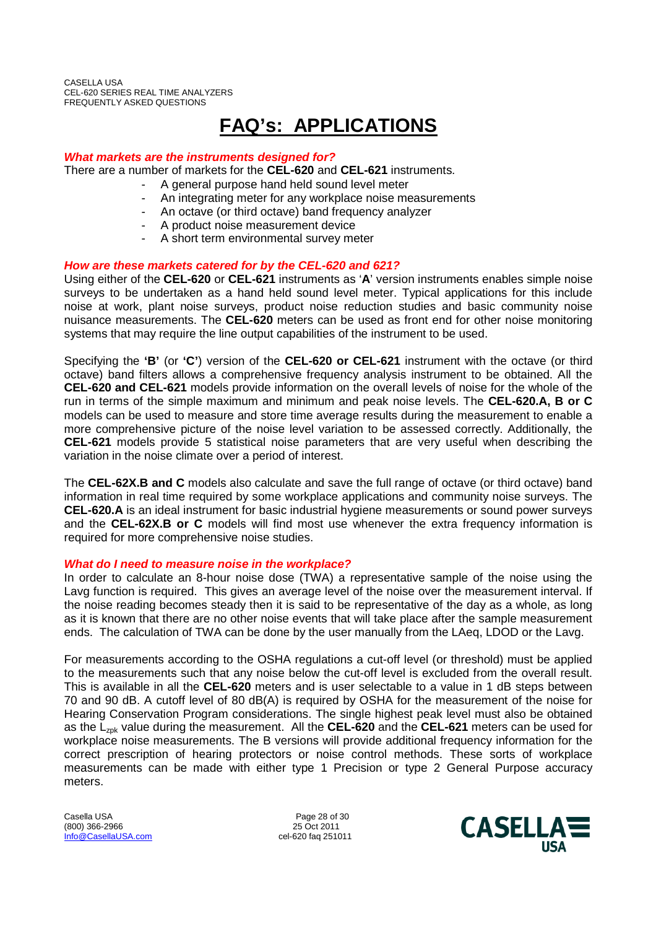# **FAQ's: APPLICATIONS**

# *What markets are the instruments designed for?*

There are a number of markets for the **CEL-620** and **CEL-621** instruments.

- A general purpose hand held sound level meter
	- An integrating meter for any workplace noise measurements
	- An octave (or third octave) band frequency analyzer
	- A product noise measurement device
	- A short term environmental survey meter

# *How are these markets catered for by the CEL-620 and 621?*

Using either of the **CEL-620** or **CEL-621** instruments as '**A**' version instruments enables simple noise surveys to be undertaken as a hand held sound level meter. Typical applications for this include noise at work, plant noise surveys, product noise reduction studies and basic community noise nuisance measurements. The **CEL-620** meters can be used as front end for other noise monitoring systems that may require the line output capabilities of the instrument to be used.

Specifying the **'B'** (or **'C'**) version of the **CEL-620 or CEL-621** instrument with the octave (or third octave) band filters allows a comprehensive frequency analysis instrument to be obtained. All the **CEL-620 and CEL-621** models provide information on the overall levels of noise for the whole of the run in terms of the simple maximum and minimum and peak noise levels. The **CEL-620.A, B or C** models can be used to measure and store time average results during the measurement to enable a more comprehensive picture of the noise level variation to be assessed correctly. Additionally, the **CEL-621** models provide 5 statistical noise parameters that are very useful when describing the variation in the noise climate over a period of interest.

The **CEL-62X.B and C** models also calculate and save the full range of octave (or third octave) band information in real time required by some workplace applications and community noise surveys. The **CEL-620.A** is an ideal instrument for basic industrial hygiene measurements or sound power surveys and the **CEL-62X.B or C** models will find most use whenever the extra frequency information is required for more comprehensive noise studies.

## *What do I need to measure noise in the workplace?*

In order to calculate an 8-hour noise dose (TWA) a representative sample of the noise using the Lavg function is required. This gives an average level of the noise over the measurement interval. If the noise reading becomes steady then it is said to be representative of the day as a whole, as long as it is known that there are no other noise events that will take place after the sample measurement ends. The calculation of TWA can be done by the user manually from the LAeq, LDOD or the Lavg.

For measurements according to the OSHA regulations a cut-off level (or threshold) must be applied to the measurements such that any noise below the cut-off level is excluded from the overall result. This is available in all the **CEL-620** meters and is user selectable to a value in 1 dB steps between 70 and 90 dB. A cutoff level of 80 dB(A) is required by OSHA for the measurement of the noise for Hearing Conservation Program considerations. The single highest peak level must also be obtained as the L<sub>zpk</sub> value during the measurement. All the **CEL-620** and the **CEL-621** meters can be used for workplace noise measurements. The B versions will provide additional frequency information for the correct prescription of hearing protectors or noise control methods. These sorts of workplace measurements can be made with either type 1 Precision or type 2 General Purpose accuracy meters.

Casella USA **Page 28 of 30** (800) 366-2966 25 Oct 2011 Info@CasellaUSA.com cel-620 faq 251011

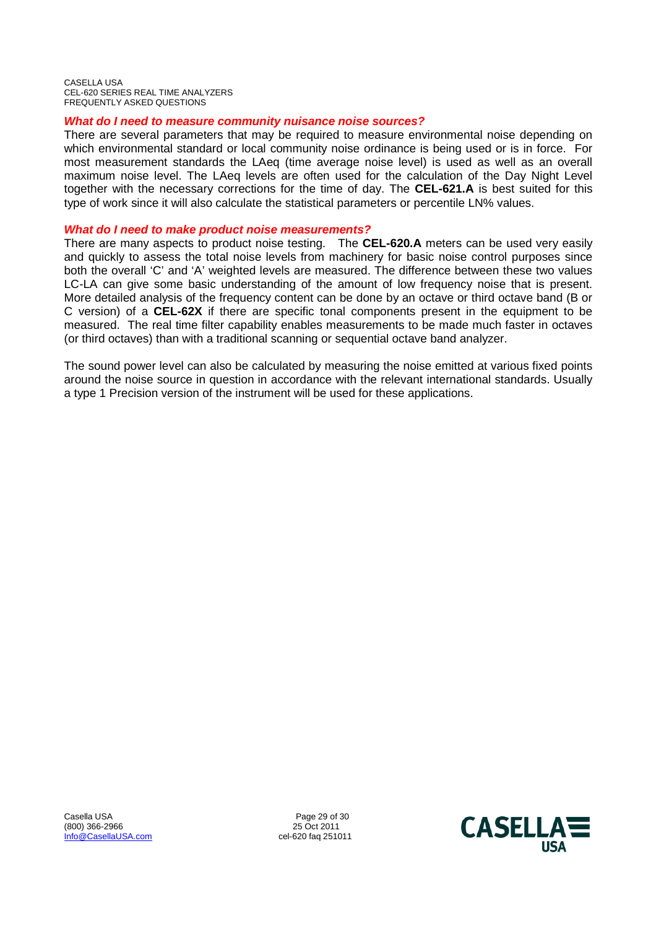# *What do I need to measure community nuisance noise sources?*

There are several parameters that may be required to measure environmental noise depending on which environmental standard or local community noise ordinance is being used or is in force. For most measurement standards the LAeq (time average noise level) is used as well as an overall maximum noise level. The LAeq levels are often used for the calculation of the Day Night Level together with the necessary corrections for the time of day. The **CEL-621.A** is best suited for this type of work since it will also calculate the statistical parameters or percentile LN% values.

# *What do I need to make product noise measurements?*

There are many aspects to product noise testing. The **CEL-620.A** meters can be used very easily and quickly to assess the total noise levels from machinery for basic noise control purposes since both the overall 'C' and 'A' weighted levels are measured. The difference between these two values LC-LA can give some basic understanding of the amount of low frequency noise that is present. More detailed analysis of the frequency content can be done by an octave or third octave band (B or C version) of a **CEL-62X** if there are specific tonal components present in the equipment to be measured. The real time filter capability enables measurements to be made much faster in octaves (or third octaves) than with a traditional scanning or sequential octave band analyzer.

The sound power level can also be calculated by measuring the noise emitted at various fixed points around the noise source in question in accordance with the relevant international standards. Usually a type 1 Precision version of the instrument will be used for these applications.

Casella USA 2001 2012 2014 2014 2014 2014 2015 2016 2017 21:00 21:00 21:00 21:00 21:00 21:00 21:00 21:00 21:00<br>Page 29 of 30 25 Oct 2011 20:00 21:00 21:00 21:00 21:00 21:00 21:00 21:00 21:00 21:00 21:00 21:00 21:00 21:00  $(800)$  366-2966 Info@CasellaUSA.com cel-620 faq 251011